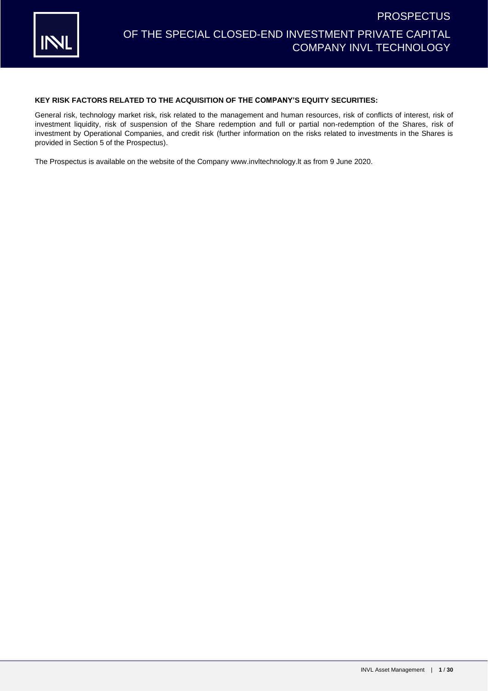

### **KEY RISK FACTORS RELATED TO THE ACQUISITION OF THE COMPANY'S EQUITY SECURITIES:**

General risk, technology market risk, risk related to the management and human resources, risk of conflicts of interest, risk of investment liquidity, risk of suspension of the Share redemption and full or partial non-redemption of the Shares, risk of investment by Operational Companies, and credit risk (further information on the risks related to investments in the Shares is provided in Section 5 of the Prospectus).

The Prospectus is available on the website of the Company www.invltechnology.lt as from 9 June 2020.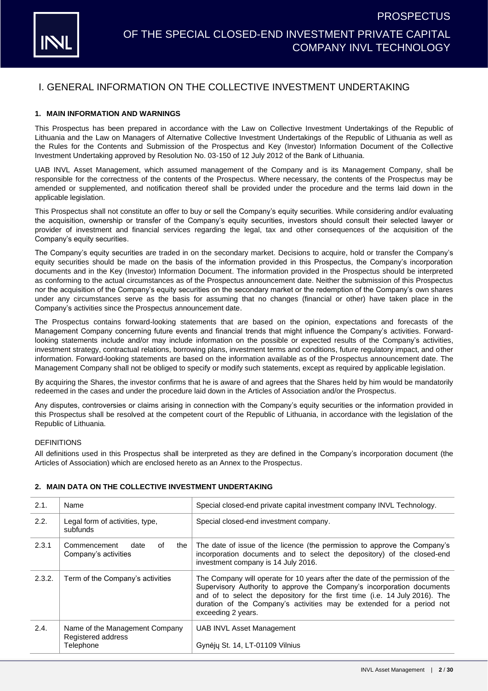

### I. GENERAL INFORMATION ON THE COLLECTIVE INVESTMENT UNDERTAKING

### **1. MAIN INFORMATION AND WARNINGS**

This Prospectus has been prepared in accordance with the Law on Collective Investment Undertakings of the Republic of Lithuania and the Law on Managers of Alternative Collective Investment Undertakings of the Republic of Lithuania as well as the Rules for the Contents and Submission of the Prospectus and Key (Investor) Information Document of the Collective Investment Undertaking approved by Resolution No. 03-150 of 12 July 2012 of the Bank of Lithuania.

UAB INVL Asset Management, which assumed management of the Company and is its Management Company, shall be responsible for the correctness of the contents of the Prospectus. Where necessary, the contents of the Prospectus may be amended or supplemented, and notification thereof shall be provided under the procedure and the terms laid down in the applicable legislation.

This Prospectus shall not constitute an offer to buy or sell the Company's equity securities. While considering and/or evaluating the acquisition, ownership or transfer of the Company's equity securities, investors should consult their selected lawyer or provider of investment and financial services regarding the legal, tax and other consequences of the acquisition of the Company's equity securities.

The Company's equity securities are traded in on the secondary market. Decisions to acquire, hold or transfer the Company's equity securities should be made on the basis of the information provided in this Prospectus, the Company's incorporation documents and in the Key (Investor) Information Document. The information provided in the Prospectus should be interpreted as conforming to the actual circumstances as of the Prospectus announcement date. Neither the submission of this Prospectus nor the acquisition of the Company's equity securities on the secondary market or the redemption of the Company's own shares under any circumstances serve as the basis for assuming that no changes (financial or other) have taken place in the Company's activities since the Prospectus announcement date.

The Prospectus contains forward-looking statements that are based on the opinion, expectations and forecasts of the Management Company concerning future events and financial trends that might influence the Company's activities. Forwardlooking statements include and/or may include information on the possible or expected results of the Company's activities, investment strategy, contractual relations, borrowing plans, investment terms and conditions, future regulatory impact, and other information. Forward-looking statements are based on the information available as of the Prospectus announcement date. The Management Company shall not be obliged to specify or modify such statements, except as required by applicable legislation.

By acquiring the Shares, the investor confirms that he is aware of and agrees that the Shares held by him would be mandatorily redeemed in the cases and under the procedure laid down in the Articles of Association and/or the Prospectus.

Any disputes, controversies or claims arising in connection with the Company's equity securities or the information provided in this Prospectus shall be resolved at the competent court of the Republic of Lithuania, in accordance with the legislation of the Republic of Lithuania.

#### DEFINITIONS

All definitions used in this Prospectus shall be interpreted as they are defined in the Company's incorporation document (the Articles of Association) which are enclosed hereto as an Annex to the Prospectus.

| 2.1.   | Name                                                              | Special closed-end private capital investment company INVL Technology.                                                                                                                                                                                                                                                                |
|--------|-------------------------------------------------------------------|---------------------------------------------------------------------------------------------------------------------------------------------------------------------------------------------------------------------------------------------------------------------------------------------------------------------------------------|
| 2.2.   | Legal form of activities, type,<br>subfunds                       | Special closed-end investment company.                                                                                                                                                                                                                                                                                                |
| 2.3.1  | the<br>date<br>0f<br>Commencement<br>Company's activities         | The date of issue of the licence (the permission to approve the Company's<br>incorporation documents and to select the depository) of the closed-end<br>investment company is 14 July 2016.                                                                                                                                           |
| 2.3.2. | Term of the Company's activities                                  | The Company will operate for 10 years after the date of the permission of the<br>Supervisory Authority to approve the Company's incorporation documents<br>and of to select the depository for the first time (i.e. 14 July 2016). The<br>duration of the Company's activities may be extended for a period not<br>exceeding 2 years. |
| 2.4.   | Name of the Management Company<br>Registered address<br>Telephone | UAB INVL Asset Management<br>Gynėju St. 14, LT-01109 Vilnius                                                                                                                                                                                                                                                                          |

#### <span id="page-1-0"></span>**2. MAIN DATA ON THE COLLECTIVE INVESTMENT UNDERTAKING**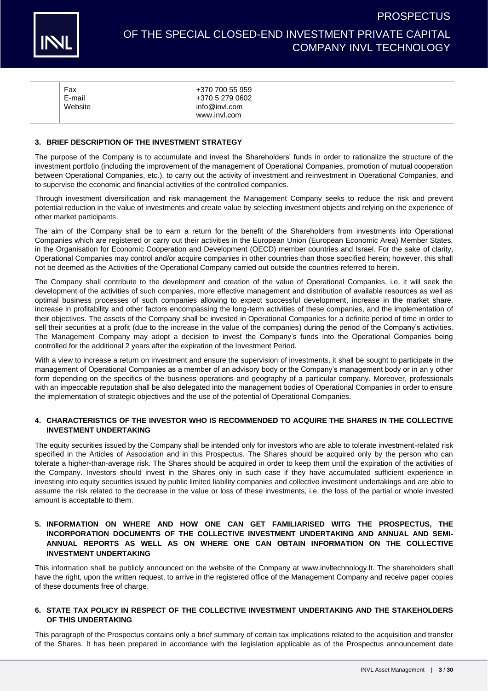

**PROSPECTUS** 

|  | Fax<br>E-mail<br>Website | +370 700 55 959<br>+370 5 279 0602<br>info@invl.com<br>www.invl.com |
|--|--------------------------|---------------------------------------------------------------------|
|--|--------------------------|---------------------------------------------------------------------|

#### **3. BRIEF DESCRIPTION OF THE INVESTMENT STRATEGY**

The purpose of the Company is to accumulate and invest the Shareholders' funds in order to rationalize the structure of the investment portfolio (including the improvement of the management of Operational Companies, promotion of mutual cooperation between Operational Companies, etc.), to carry out the activity of investment and reinvestment in Operational Companies, and to supervise the economic and financial activities of the controlled companies.

Through investment diversification and risk management the Management Company seeks to reduce the risk and prevent potential reduction in the value of investments and create value by selecting investment objects and relying on the experience of other market participants.

The aim of the Company shall be to earn a return for the benefit of the Shareholders from investments into Operational Companies which are registered or carry out their activities in the European Union (European Economic Area) Member States, in the Organisation for Economic Cooperation and Development (OECD) member countries and Israel. For the sake of clarity, Operational Companies may control and/or acquire companies in other countries than those specified herein; however, this shall not be deemed as the Activities of the Operational Company carried out outside the countries referred to herein.

The Company shall contribute to the development and creation of the value of Operational Companies, i.e. it will seek the development of the activities of such companies, more effective management and distribution of available resources as well as optimal business processes of such companies allowing to expect successful development, increase in the market share, increase in profitability and other factors encompassing the long-term activities of these companies, and the implementation of their objectives. The assets of the Company shall be invested in Operational Companies for a definite period of time in order to sell their securities at a profit (due to the increase in the value of the companies) during the period of the Company's activities. The Management Company may adopt a decision to invest the Company's funds into the Operational Companies being controlled for the additional 2 years after the expiration of the Investment Period.

With a view to increase a return on investment and ensure the supervision of investments, it shall be sought to participate in the management of Operational Companies as a member of an advisory body or the Company's management body or in an y other form depending on the specifics of the business operations and geography of a particular company. Moreover, professionals with an impeccable reputation shall be also delegated into the management bodies of Operational Companies in order to ensure the implementation of strategic objectives and the use of the potential of Operational Companies.

#### **4. CHARACTERISTICS OF THE INVESTOR WHO IS RECOMMENDED TO ACQUIRE THE SHARES IN THE COLLECTIVE INVESTMENT UNDERTAKING**

The equity securities issued by the Company shall be intended only for investors who are able to tolerate investment-related risk specified in the Articles of Association and in this Prospectus. The Shares should be acquired only by the person who can tolerate a higher-than-average risk. The Shares should be acquired in order to keep them until the expiration of the activities of the Company. Investors should invest in the Shares only in such case if they have accumulated sufficient experience in investing into equity securities issued by public limited liability companies and collective investment undertakings and are able to assume the risk related to the decrease in the value or loss of these investments, i.e. the loss of the partial or whole invested amount is acceptable to them.

### **5. INFORMATION ON WHERE AND HOW ONE CAN GET FAMILIARISED WITG THE PROSPECTUS, THE INCORPORATION DOCUMENTS OF THE COLLECTIVE INVESTMENT UNDERTAKING AND ANNUAL AND SEMI-ANNUAL REPORTS AS WELL AS ON WHERE ONE CAN OBTAIN INFORMATION ON THE COLLECTIVE INVESTMENT UNDERTAKING**

This information shall be publicly announced on the website of the Company at [www.invltechnology.lt.](http://www.invltechnology.lt/) The shareholders shall have the right, upon the written request, to arrive in the registered office of the Management Company and receive paper copies of these documents free of charge.

### **6. STATE TAX POLICY IN RESPECT OF THE COLLECTIVE INVESTMENT UNDERTAKING AND THE STAKEHOLDERS OF THIS UNDERTAKING**

This paragraph of the Prospectus contains only a brief summary of certain tax implications related to the acquisition and transfer of the Shares. It has been prepared in accordance with the legislation applicable as of the Prospectus announcement date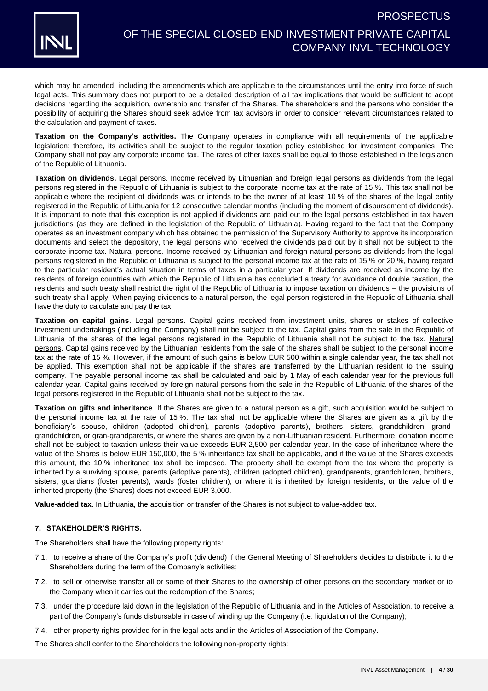



which may be amended, including the amendments which are applicable to the circumstances until the entry into force of such legal acts. This summary does not purport to be a detailed description of all tax implications that would be sufficient to adopt decisions regarding the acquisition, ownership and transfer of the Shares. The shareholders and the persons who consider the possibility of acquiring the Shares should seek advice from tax advisors in order to consider relevant circumstances related to the calculation and payment of taxes.

**Taxation on the Company's activities.** The Company operates in compliance with all requirements of the applicable legislation; therefore, its activities shall be subject to the regular taxation policy established for investment companies. The Company shall not pay any corporate income tax. The rates of other taxes shall be equal to those established in the legislation of the Republic of Lithuania.

**Taxation on dividends.** Legal persons. Income received by Lithuanian and foreign legal persons as dividends from the legal persons registered in the Republic of Lithuania is subject to the corporate income tax at the rate of 15 %. This tax shall not be applicable where the recipient of dividends was or intends to be the owner of at least 10 % of the shares of the legal entity registered in the Republic of Lithuania for 12 consecutive calendar months (including the moment of disbursement of dividends). It is important to note that this exception is not applied if dividends are paid out to the legal persons established in tax haven jurisdictions (as they are defined in the legislation of the Republic of Lithuania). Having regard to the fact that the Company operates as an investment company which has obtained the permission of the Supervisory Authority to approve its incorporation documents and select the depository, the legal persons who received the dividends paid out by it shall not be subject to the corporate income tax. Natural persons. Income received by Lithuanian and foreign natural persons as dividends from the legal persons registered in the Republic of Lithuania is subject to the personal income tax at the rate of 15 % or 20 %, having regard to the particular resident's actual situation in terms of taxes in a particular year. If dividends are received as income by the residents of foreign countries with which the Republic of Lithuania has concluded a treaty for avoidance of double taxation, the residents and such treaty shall restrict the right of the Republic of Lithuania to impose taxation on dividends – the provisions of such treaty shall apply. When paying dividends to a natural person, the legal person registered in the Republic of Lithuania shall have the duty to calculate and pay the tax.

**Taxation on capital gains**. Legal persons. Capital gains received from investment units, shares or stakes of collective investment undertakings (including the Company) shall not be subject to the tax. Capital gains from the sale in the Republic of Lithuania of the shares of the legal persons registered in the Republic of Lithuania shall not be subject to the tax. Natural persons. Capital gains received by the Lithuanian residents from the sale of the shares shall be subject to the personal income tax at the rate of 15 %. However, if the amount of such gains is below EUR 500 within a single calendar year, the tax shall not be applied. This exemption shall not be applicable if the shares are transferred by the Lithuanian resident to the issuing company. The payable personal income tax shall be calculated and paid by 1 May of each calendar year for the previous full calendar year. Capital gains received by foreign natural persons from the sale in the Republic of Lithuania of the shares of the legal persons registered in the Republic of Lithuania shall not be subject to the tax.

**Taxation on gifts and inheritance**. If the Shares are given to a natural person as a gift, such acquisition would be subject to the personal income tax at the rate of 15 %. The tax shall not be applicable where the Shares are given as a gift by the beneficiary's spouse, children (adopted children), parents (adoptive parents), brothers, sisters, grandchildren, grandgrandchildren, or gran-grandparents, or where the shares are given by a non-Lithuanian resident. Furthermore, donation income shall not be subject to taxation unless their value exceeds EUR 2,500 per calendar year. In the case of inheritance where the value of the Shares is below EUR 150,000, the 5 % inheritance tax shall be applicable, and if the value of the Shares exceeds this amount, the 10 % inheritance tax shall be imposed. The property shall be exempt from the tax where the property is inherited by a surviving spouse, parents (adoptive parents), children (adopted children), grandparents, grandchildren, brothers, sisters, guardians (foster parents), wards (foster children), or where it is inherited by foreign residents, or the value of the inherited property (the Shares) does not exceed EUR 3,000.

**Value-added tax**. In Lithuania, the acquisition or transfer of the Shares is not subject to value-added tax.

### **7. STAKEHOLDER'S RIGHTS.**

The Shareholders shall have the following property rights:

- 7.1. to receive a share of the Company's profit (dividend) if the General Meeting of Shareholders decides to distribute it to the Shareholders during the term of the Company's activities;
- 7.2. to sell or otherwise transfer all or some of their Shares to the ownership of other persons on the secondary market or to the Company when it carries out the redemption of the Shares;
- 7.3. under the procedure laid down in the legislation of the Republic of Lithuania and in the Articles of Association, to receive a part of the Company's funds disbursable in case of winding up the Company (i.e. liquidation of the Company);
- 7.4. other property rights provided for in the legal acts and in the Articles of Association of the Company.

The Shares shall confer to the Shareholders the following non-property rights: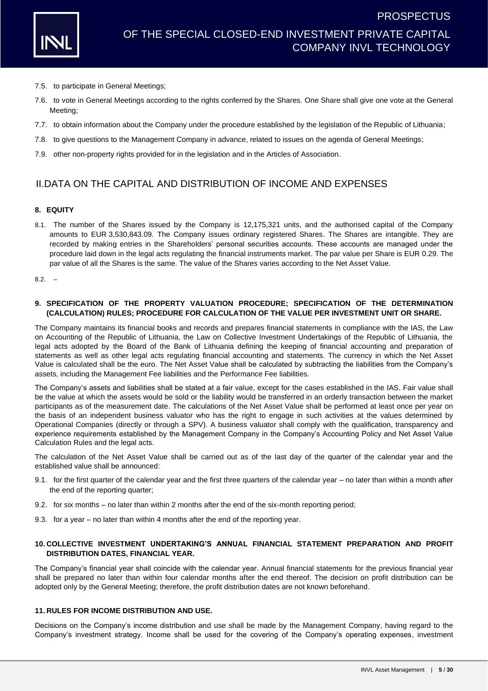- 7.5. to participate in General Meetings;
- 7.6. to vote in General Meetings according to the rights conferred by the Shares. One Share shall give one vote at the General Meeting;
- 7.7. to obtain information about the Company under the procedure established by the legislation of the Republic of Lithuania;
- 7.8. to give questions to the Management Company in advance, related to issues on the agenda of General Meetings;
- 7.9. other non-property rights provided for in the legislation and in the Articles of Association.

### II.DATA ON THE CAPITAL AND DISTRIBUTION OF INCOME AND EXPENSES

#### **8. EQUITY**

8.1. The number of the Shares issued by the Company is 12,175,321 units, and the authorised capital of the Company amounts to EUR 3,530,843.09. The Company issues ordinary registered Shares. The Shares are intangible. They are recorded by making entries in the Shareholders' personal securities accounts. These accounts are managed under the procedure laid down in the legal acts regulating the financial instruments market. The par value per Share is EUR 0.29. The par value of all the Shares is the same. The value of the Shares varies according to the Net Asset Value.

 $8.2. -$ 

### **9. SPECIFICATION OF THE PROPERTY VALUATION PROCEDURE; SPECIFICATION OF THE DETERMINATION (CALCULATION) RULES; PROCEDURE FOR CALCULATION OF THE VALUE PER INVESTMENT UNIT OR SHARE.**

The Company maintains its financial books and records and prepares financial statements in compliance with the IAS, the Law on Accounting of the Republic of Lithuania, the Law on Collective Investment Undertakings of the Republic of Lithuania, the legal acts adopted by the Board of the Bank of Lithuania defining the keeping of financial accounting and preparation of statements as well as other legal acts regulating financial accounting and statements. The currency in which the Net Asset Value is calculated shall be the euro. The Net Asset Value shall be calculated by subtracting the liabilities from the Company's assets, including the Management Fee liabilities and the Performance Fee liabilities.

The Company's assets and liabilities shall be stated at a fair value, except for the cases established in the IAS. Fair value shall be the value at which the assets would be sold or the liability would be transferred in an orderly transaction between the market participants as of the measurement date. The calculations of the Net Asset Value shall be performed at least once per year on the basis of an independent business valuator who has the right to engage in such activities at the values determined by Operational Companies (directly or through a SPV). A business valuator shall comply with the qualification, transparency and experience requirements established by the Management Company in the Company's Accounting Policy and Net Asset Value Calculation Rules and the legal acts.

The calculation of the Net Asset Value shall be carried out as of the last day of the quarter of the calendar year and the established value shall be announced:

- 9.1. for the first quarter of the calendar year and the first three quarters of the calendar year no later than within a month after the end of the reporting quarter;
- 9.2. for six months no later than within 2 months after the end of the six-month reporting period;
- 9.3. for a year no later than within 4 months after the end of the reporting year.

### **10. COLLECTIVE INVESTMENT UNDERTAKING'S ANNUAL FINANCIAL STATEMENT PREPARATION AND PROFIT DISTRIBUTION DATES, FINANCIAL YEAR.**

The Company's financial year shall coincide with the calendar year. Annual financial statements for the previous financial year shall be prepared no later than within four calendar months after the end thereof. The decision on profit distribution can be adopted only by the General Meeting; therefore, the profit distribution dates are not known beforehand.

#### **11. RULES FOR INCOME DISTRIBUTION AND USE.**

Decisions on the Company's income distribution and use shall be made by the Management Company, having regard to the Company's investment strategy. Income shall be used for the covering of the Company's operating expenses, investment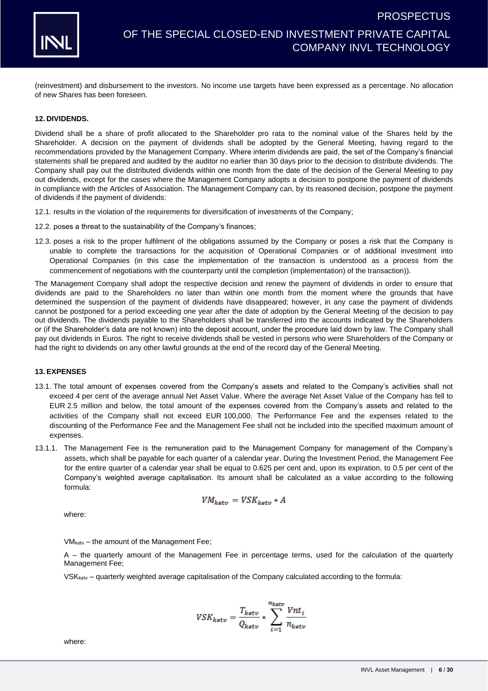

(reinvestment) and disbursement to the investors. No income use targets have been expressed as a percentage. No allocation of new Shares has been foreseen.

#### **12. DIVIDENDS.**

Dividend shall be a share of profit allocated to the Shareholder pro rata to the nominal value of the Shares held by the Shareholder. A decision on the payment of dividends shall be adopted by the General Meeting, having regard to the recommendations provided by the Management Company. Where interim dividends are paid, the set of the Company's financial statements shall be prepared and audited by the auditor no earlier than 30 days prior to the decision to distribute dividends. The Company shall pay out the distributed dividends within one month from the date of the decision of the General Meeting to pay out dividends, except for the cases where the Management Company adopts a decision to postpone the payment of dividends in compliance with the Articles of Association. The Management Company can, by its reasoned decision, postpone the payment of dividends if the payment of dividends:

- 12.1. results in the violation of the requirements for diversification of investments of the Company;
- 12.2. poses a threat to the sustainability of the Company's finances;
- 12.3. poses a risk to the proper fulfilment of the obligations assumed by the Company or poses a risk that the Company is unable to complete the transactions for the acquisition of Operational Companies or of additional investment into Operational Companies (in this case the implementation of the transaction is understood as a process from the commencement of negotiations with the counterparty until the completion (implementation) of the transaction)).

The Management Company shall adopt the respective decision and renew the payment of dividends in order to ensure that dividends are paid to the Shareholders no later than within one month from the moment where the grounds that have determined the suspension of the payment of dividends have disappeared; however, in any case the payment of dividends cannot be postponed for a period exceeding one year after the date of adoption by the General Meeting of the decision to pay out dividends. The dividends payable to the Shareholders shall be transferred into the accounts indicated by the Shareholders or (if the Shareholder's data are not known) into the deposit account, under the procedure laid down by law. The Company shall pay out dividends in Euros. The right to receive dividends shall be vested in persons who were Shareholders of the Company or had the right to dividends on any other lawful grounds at the end of the record day of the General Meeting.

### **13. EXPENSES**

- <span id="page-5-0"></span>13.1. The total amount of expenses covered from the Company's assets and related to the Company's activities shall not exceed 4 per cent of the average annual Net Asset Value. Where the average Net Asset Value of the Company has fell to EUR 2.5 million and below, the total amount of the expenses covered from the Company's assets and related to the activities of the Company shall not exceed EUR 100,000. The Performance Fee and the expenses related to the discounting of the Performance Fee and the Management Fee shall not be included into the specified maximum amount of expenses.
- <span id="page-5-1"></span>13.1.1. The Management Fee is the remuneration paid to the Management Company for management of the Company's assets, which shall be payable for each quarter of a calendar year. During the Investment Period, the Management Fee for the entire quarter of a calendar year shall be equal to 0.625 per cent and, upon its expiration, to 0.5 per cent of the Company's weighted average capitalisation. Its amount shall be calculated as a value according to the following formula:

$$
VM_{ketv} = VSK_{ketv} * A
$$

where:

VMketv – the amount of the Management Fee;

A – the quarterly amount of the Management Fee in percentage terms, used for the calculation of the quarterly Management Fee;

VSKketv – quarterly weighted average capitalisation of the Company calculated according to the formula:

$$
VSK_{ketv} = \frac{T_{ketv}}{Q_{ketv}} * \sum_{i=1}^{n_{ketv}} \frac{Vnt_i}{n_{ketv}}
$$

where: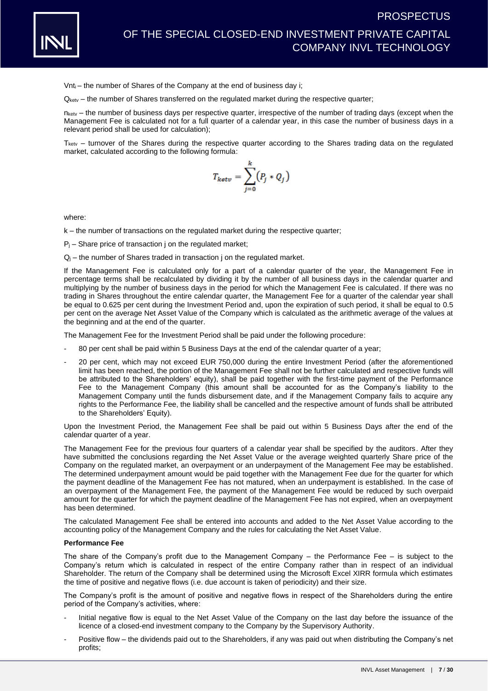

Vnti – the number of Shares of the Company at the end of business day i;

Qketv – the number of Shares transferred on the regulated market during the respective quarter;

nketv – the number of business days per respective quarter, irrespective of the number of trading days (except when the Management Fee is calculated not for a full quarter of a calendar year, in this case the number of business days in a relevant period shall be used for calculation);

 $T_{\text{ketv}}$  – turnover of the Shares during the respective quarter according to the Shares trading data on the regulated market, calculated according to the following formula:

$$
T_{ketv} = \sum_{j=0}^{k} (P_j * Q_j)
$$

where:

k – the number of transactions on the regulated market during the respective quarter;

 $P_i$  – Share price of transaction *j* on the regulated market;

 $Q_i$  – the number of Shares traded in transaction j on the regulated market.

If the Management Fee is calculated only for a part of a calendar quarter of the year, the Management Fee in percentage terms shall be recalculated by dividing it by the number of all business days in the calendar quarter and multiplying by the number of business days in the period for which the Management Fee is calculated. If there was no trading in Shares throughout the entire calendar quarter, the Management Fee for a quarter of the calendar year shall be equal to 0.625 per cent during the Investment Period and, upon the expiration of such period, it shall be equal to 0.5 per cent on the average Net Asset Value of the Company which is calculated as the arithmetic average of the values at the beginning and at the end of the quarter.

The Management Fee for the Investment Period shall be paid under the following procedure:

- 80 per cent shall be paid within 5 Business Days at the end of the calendar quarter of a year;
- 20 per cent, which may not exceed EUR 750,000 during the entire Investment Period (after the aforementioned limit has been reached, the portion of the Management Fee shall not be further calculated and respective funds will be attributed to the Shareholders' equity), shall be paid together with the first-time payment of the Performance Fee to the Management Company (this amount shall be accounted for as the Company's liability to the Management Company until the funds disbursement date, and if the Management Company fails to acquire any rights to the Performance Fee, the liability shall be cancelled and the respective amount of funds shall be attributed to the Shareholders' Equity).

Upon the Investment Period, the Management Fee shall be paid out within 5 Business Days after the end of the calendar quarter of a year.

The Management Fee for the previous four quarters of a calendar year shall be specified by the auditors. After they have submitted the conclusions regarding the Net Asset Value or the average weighted quarterly Share price of the Company on the regulated market, an overpayment or an underpayment of the Management Fee may be established. The determined underpayment amount would be paid together with the Management Fee due for the quarter for which the payment deadline of the Management Fee has not matured, when an underpayment is established. In the case of an overpayment of the Management Fee, the payment of the Management Fee would be reduced by such overpaid amount for the quarter for which the payment deadline of the Management Fee has not expired, when an overpayment has been determined.

The calculated Management Fee shall be entered into accounts and added to the Net Asset Value according to the accounting policy of the Management Company and the rules for calculating the Net Asset Value.

#### **Performance Fee**

The share of the Company's profit due to the Management Company  $-$  the Performance Fee  $-$  is subject to the Company's return which is calculated in respect of the entire Company rather than in respect of an individual Shareholder. The return of the Company shall be determined using the Microsoft Excel XIRR formula which estimates the time of positive and negative flows (i.e. due account is taken of periodicity) and their size.

The Company's profit is the amount of positive and negative flows in respect of the Shareholders during the entire period of the Company's activities, where:

- Initial negative flow is equal to the Net Asset Value of the Company on the last day before the issuance of the licence of a closed-end investment company to the Company by the Supervisory Authority.
- Positive flow the dividends paid out to the Shareholders, if any was paid out when distributing the Company's net profits;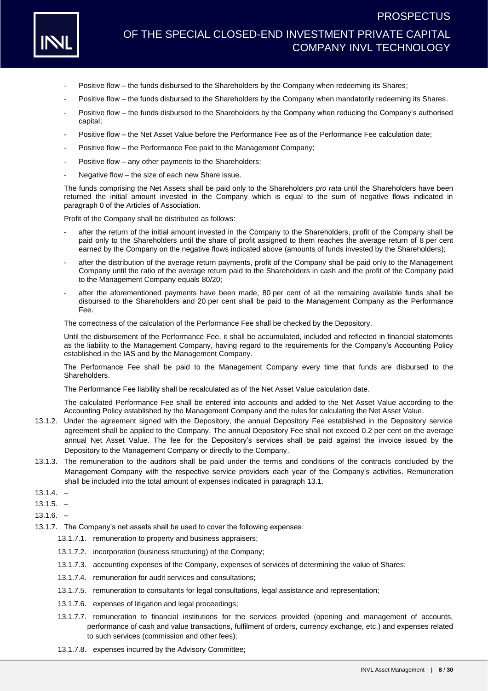

- Positive flow the funds disbursed to the Shareholders by the Company when redeeming its Shares;
- Positive flow the funds disbursed to the Shareholders by the Company when mandatorily redeeming its Shares.
- Positive flow the funds disbursed to the Shareholders by the Company when reducing the Company's authorised capital;
- Positive flow the Net Asset Value before the Performance Fee as of the Performance Fee calculation date;
- Positive flow the Performance Fee paid to the Management Company;
- Positive flow any other payments to the Shareholders;
- Negative flow the size of each new Share issue.

The funds comprising the Net Assets shall be paid only to the Shareholders *pro rata* until the Shareholders have been returned the initial amount invested in the Company which is equal to the sum of negative flows indicated in paragraph 0 of the Articles of Association.

Profit of the Company shall be distributed as follows:

- after the return of the initial amount invested in the Company to the Shareholders, profit of the Company shall be paid only to the Shareholders until the share of profit assigned to them reaches the average return of 8 per cent earned by the Company on the negative flows indicated above (amounts of funds invested by the Shareholders);
- after the distribution of the average return payments, profit of the Company shall be paid only to the Management Company until the ratio of the average return paid to the Shareholders in cash and the profit of the Company paid to the Management Company equals 80/20;
- after the aforementioned payments have been made, 80 per cent of all the remaining available funds shall be disbursed to the Shareholders and 20 per cent shall be paid to the Management Company as the Performance Fee.

The correctness of the calculation of the Performance Fee shall be checked by the Depository.

Until the disbursement of the Performance Fee, it shall be accumulated, included and reflected in financial statements as the liability to the Management Company, having regard to the requirements for the Company's Accounting Policy established in the IAS and by the Management Company.

The Performance Fee shall be paid to the Management Company every time that funds are disbursed to the Shareholders.

The Performance Fee liability shall be recalculated as of the Net Asset Value calculation date.

The calculated Performance Fee shall be entered into accounts and added to the Net Asset Value according to the Accounting Policy established by the Management Company and the rules for calculating the Net Asset Value.

- 13.1.2. Under the agreement signed with the Depository, the annual Depository Fee established in the Depository service agreement shall be applied to the Company. The annual Depository Fee shall not exceed 0.2 per cent on the average annual Net Asset Value. The fee for the Depository's services shall be paid against the invoice issued by the Depository to the Management Company or directly to the Company.
- 13.1.3. The remuneration to the auditors shall be paid under the terms and conditions of the contracts concluded by the Management Company with the respective service providers each year of the Company's activities. Remuneration shall be included into the total amount of expenses indicated in paragraph [13.1.](#page-5-0)
- $13.1.4. -$
- $13.1.5. -$
- 13.1.6. –
- 13.1.7. The Company's net assets shall be used to cover the following expenses:
	- 13.1.7.1. remuneration to property and business appraisers;
	- 13.1.7.2. incorporation (business structuring) of the Company;
	- 13.1.7.3. accounting expenses of the Company, expenses of services of determining the value of Shares;
	- 13.1.7.4. remuneration for audit services and consultations;
	- 13.1.7.5. remuneration to consultants for legal consultations, legal assistance and representation;
	- 13.1.7.6. expenses of litigation and legal proceedings;
	- 13.1.7.7. remuneration to financial institutions for the services provided (opening and management of accounts, performance of cash and value transactions, fulfilment of orders, currency exchange, etc.) and expenses related to such services (commission and other fees);
	- 13.1.7.8. expenses incurred by the Advisory Committee;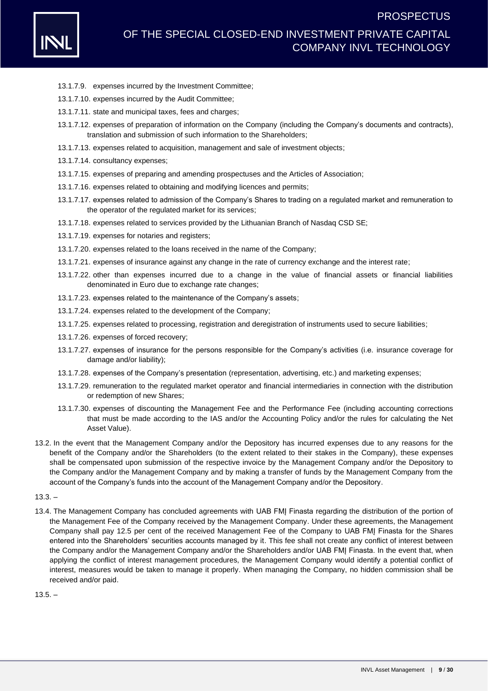

- 13.1.7.9. expenses incurred by the Investment Committee;
- 13.1.7.10. expenses incurred by the Audit Committee;
- 13.1.7.11. state and municipal taxes, fees and charges;
- 13.1.7.12. expenses of preparation of information on the Company (including the Company's documents and contracts), translation and submission of such information to the Shareholders;
- 13.1.7.13. expenses related to acquisition, management and sale of investment objects;
- 13.1.7.14. consultancy expenses;
- 13.1.7.15. expenses of preparing and amending prospectuses and the Articles of Association;
- 13.1.7.16. expenses related to obtaining and modifying licences and permits;
- 13.1.7.17. expenses related to admission of the Company's Shares to trading on a regulated market and remuneration to the operator of the regulated market for its services;
- 13.1.7.18. expenses related to services provided by the Lithuanian Branch of Nasdaq CSD SE;
- 13.1.7.19. expenses for notaries and registers;
- 13.1.7.20. expenses related to the loans received in the name of the Company;
- 13.1.7.21. expenses of insurance against any change in the rate of currency exchange and the interest rate;
- 13.1.7.22. other than expenses incurred due to a change in the value of financial assets or financial liabilities denominated in Euro due to exchange rate changes;
- 13.1.7.23. expenses related to the maintenance of the Company's assets;
- 13.1.7.24. expenses related to the development of the Company;
- 13.1.7.25. expenses related to processing, registration and deregistration of instruments used to secure liabilities;
- 13.1.7.26. expenses of forced recovery;
- 13.1.7.27. expenses of insurance for the persons responsible for the Company's activities (i.e. insurance coverage for damage and/or liability);
- 13.1.7.28. expenses of the Company's presentation (representation, advertising, etc.) and marketing expenses;
- 13.1.7.29. remuneration to the regulated market operator and financial intermediaries in connection with the distribution or redemption of new Shares;
- 13.1.7.30. expenses of discounting the Management Fee and the Performance Fee (including accounting corrections that must be made according to the IAS and/or the Accounting Policy and/or the rules for calculating the Net Asset Value).
- 13.2. In the event that the Management Company and/or the Depository has incurred expenses due to any reasons for the benefit of the Company and/or the Shareholders (to the extent related to their stakes in the Company), these expenses shall be compensated upon submission of the respective invoice by the Management Company and/or the Depository to the Company and/or the Management Company and by making a transfer of funds by the Management Company from the account of the Company's funds into the account of the Management Company and/or the Depository.

#### $13.3. -$

13.4. The Management Company has concluded agreements with UAB FMI Finasta regarding the distribution of the portion of the Management Fee of the Company received by the Management Company. Under these agreements, the Management Company shall pay 12.5 per cent of the received Management Fee of the Company to UAB FMĮ Finasta for the Shares entered into the Shareholders' securities accounts managed by it. This fee shall not create any conflict of interest between the Company and/or the Management Company and/or the Shareholders and/or UAB FMI Finasta. In the event that, when applying the conflict of interest management procedures, the Management Company would identify a potential conflict of interest, measures would be taken to manage it properly. When managing the Company, no hidden commission shall be received and/or paid.

 $13.5. -$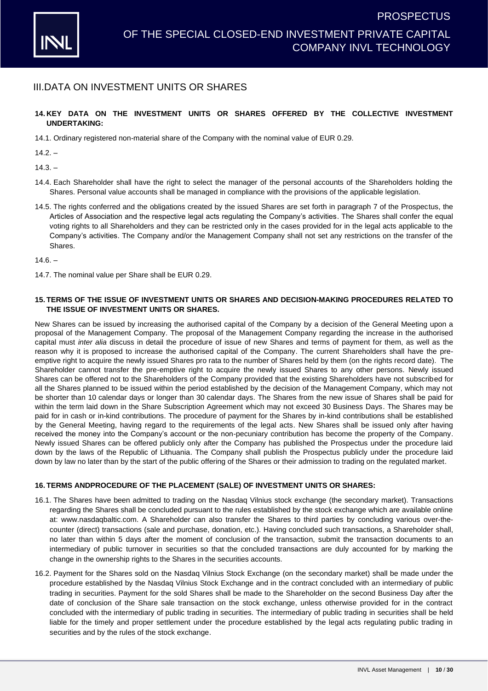

### III.DATA ON INVESTMENT UNITS OR SHARES

### **14. KEY DATA ON THE INVESTMENT UNITS OR SHARES OFFERED BY THE COLLECTIVE INVESTMENT UNDERTAKING:**

14.1. Ordinary registered non-material share of the Company with the nominal value of EUR 0.29.

 $14.2. -$ 

 $14.3. -$ 

- 14.4. Each Shareholder shall have the right to select the manager of the personal accounts of the Shareholders holding the Shares. Personal value accounts shall be managed in compliance with the provisions of the applicable legislation.
- 14.5. The rights conferred and the obligations created by the issued Shares are set forth in paragraph 7 of the Prospectus, the Articles of Association and the respective legal acts regulating the Company's activities. The Shares shall confer the equal voting rights to all Shareholders and they can be restricted only in the cases provided for in the legal acts applicable to the Company's activities. The Company and/or the Management Company shall not set any restrictions on the transfer of the Shares.

 $14.6. -$ 

14.7. The nominal value per Share shall be EUR 0.29.

### **15. TERMS OF THE ISSUE OF INVESTMENT UNITS OR SHARES AND DECISION-MAKING PROCEDURES RELATED TO THE ISSUE OF INVESTMENT UNITS OR SHARES.**

New Shares can be issued by increasing the authorised capital of the Company by a decision of the General Meeting upon a proposal of the Management Company. The proposal of the Management Company regarding the increase in the authorised capital must *inter alia* discuss in detail the procedure of issue of new Shares and terms of payment for them, as well as the reason why it is proposed to increase the authorised capital of the Company. The current Shareholders shall have the preemptive right to acquire the newly issued Shares pro rata to the number of Shares held by them (on the rights record date). The Shareholder cannot transfer the pre-emptive right to acquire the newly issued Shares to any other persons. Newly issued Shares can be offered not to the Shareholders of the Company provided that the existing Shareholders have not subscribed for all the Shares planned to be issued within the period established by the decision of the Management Company, which may not be shorter than 10 calendar days or longer than 30 calendar days. The Shares from the new issue of Shares shall be paid for within the term laid down in the Share Subscription Agreement which may not exceed 30 Business Days. The Shares may be paid for in cash or in-kind contributions. The procedure of payment for the Shares by in-kind contributions shall be established by the General Meeting, having regard to the requirements of the legal acts. New Shares shall be issued only after having received the money into the Company's account or the non-pecuniary contribution has become the property of the Company. Newly issued Shares can be offered publicly only after the Company has published the Prospectus under the procedure laid down by the laws of the Republic of Lithuania. The Company shall publish the Prospectus publicly under the procedure laid down by law no later than by the start of the public offering of the Shares or their admission to trading on the regulated market.

### **16. TERMS ANDPROCEDURE OF THE PLACEMENT (SALE) OF INVESTMENT UNITS OR SHARES:**

- 16.1. The Shares have been admitted to trading on the Nasdaq Vilnius stock exchange (the secondary market). Transactions regarding the Shares shall be concluded pursuant to the rules established by the stock exchange which are available online at: [www.nasdaqbaltic.com.](http://www.nasdaqbaltic.com/) A Shareholder can also transfer the Shares to third parties by concluding various over-thecounter (direct) transactions (sale and purchase, donation, etc.). Having concluded such transactions, a Shareholder shall, no later than within 5 days after the moment of conclusion of the transaction, submit the transaction documents to an intermediary of public turnover in securities so that the concluded transactions are duly accounted for by marking the change in the ownership rights to the Shares in the securities accounts.
- 16.2. Payment for the Shares sold on the Nasdaq Vilnius Stock Exchange (on the secondary market) shall be made under the procedure established by the Nasdaq Vilnius Stock Exchange and in the contract concluded with an intermediary of public trading in securities. Payment for the sold Shares shall be made to the Shareholder on the second Business Day after the date of conclusion of the Share sale transaction on the stock exchange, unless otherwise provided for in the contract concluded with the intermediary of public trading in securities. The intermediary of public trading in securities shall be held liable for the timely and proper settlement under the procedure established by the legal acts regulating public trading in securities and by the rules of the stock exchange.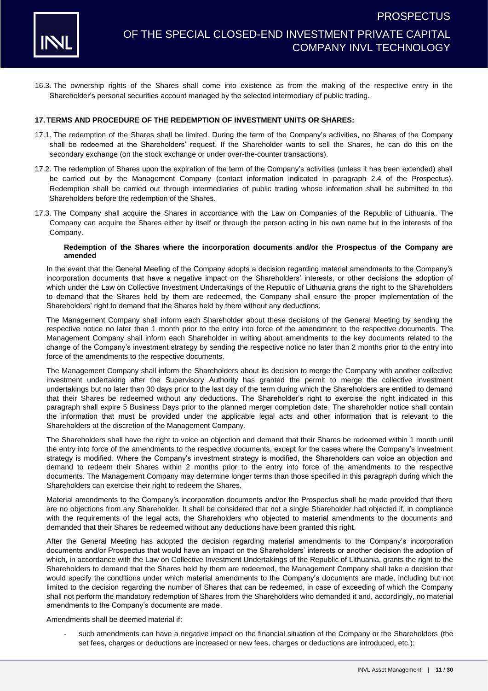

16.3. The ownership rights of the Shares shall come into existence as from the making of the respective entry in the Shareholder's personal securities account managed by the selected intermediary of public trading.

#### **17. TERMS AND PROCEDURE OF THE REDEMPTION OF INVESTMENT UNITS OR SHARES:**

- 17.1. The redemption of the Shares shall be limited. During the term of the Company's activities, no Shares of the Company shall be redeemed at the Shareholders' request. If the Shareholder wants to sell the Shares, he can do this on the secondary exchange (on the stock exchange or under over-the-counter transactions).
- 17.2. The redemption of Shares upon the expiration of the term of the Company's activities (unless it has been extended) shall be carried out by the Management Company (contact information indicated in paragraph [2.](#page-1-0)4 of the Prospectus). Redemption shall be carried out through intermediaries of public trading whose information shall be submitted to the Shareholders before the redemption of the Shares.
- 17.3. The Company shall acquire the Shares in accordance with the Law on Companies of the Republic of Lithuania. The Company can acquire the Shares either by itself or through the person acting in his own name but in the interests of the Company.

#### **Redemption of the Shares where the incorporation documents and/or the Prospectus of the Company are amended**

In the event that the General Meeting of the Company adopts a decision regarding material amendments to the Company's incorporation documents that have a negative impact on the Shareholders' interests, or other decisions the adoption of which under the Law on Collective Investment Undertakings of the Republic of Lithuania grans the right to the Shareholders to demand that the Shares held by them are redeemed, the Company shall ensure the proper implementation of the Shareholders' right to demand that the Shares held by them without any deductions.

The Management Company shall inform each Shareholder about these decisions of the General Meeting by sending the respective notice no later than 1 month prior to the entry into force of the amendment to the respective documents. The Management Company shall inform each Shareholder in writing about amendments to the key documents related to the change of the Company's investment strategy by sending the respective notice no later than 2 months prior to the entry into force of the amendments to the respective documents.

The Management Company shall inform the Shareholders about its decision to merge the Company with another collective investment undertaking after the Supervisory Authority has granted the permit to merge the collective investment undertakings but no later than 30 days prior to the last day of the term during which the Shareholders are entitled to demand that their Shares be redeemed without any deductions. The Shareholder's right to exercise the right indicated in this paragraph shall expire 5 Business Days prior to the planned merger completion date. The shareholder notice shall contain the information that must be provided under the applicable legal acts and other information that is relevant to the Shareholders at the discretion of the Management Company.

The Shareholders shall have the right to voice an objection and demand that their Shares be redeemed within 1 month until the entry into force of the amendments to the respective documents, except for the cases where the Company's investment strategy is modified. Where the Company's investment strategy is modified, the Shareholders can voice an objection and demand to redeem their Shares within 2 months prior to the entry into force of the amendments to the respective documents. The Management Company may determine longer terms than those specified in this paragraph during which the Shareholders can exercise their right to redeem the Shares.

Material amendments to the Company's incorporation documents and/or the Prospectus shall be made provided that there are no objections from any Shareholder. It shall be considered that not a single Shareholder had objected if, in compliance with the requirements of the legal acts, the Shareholders who objected to material amendments to the documents and demanded that their Shares be redeemed without any deductions have been granted this right.

After the General Meeting has adopted the decision regarding material amendments to the Company's incorporation documents and/or Prospectus that would have an impact on the Shareholders' interests or another decision the adoption of which, in accordance with the Law on Collective Investment Undertakings of the Republic of Lithuania, grants the right to the Shareholders to demand that the Shares held by them are redeemed, the Management Company shall take a decision that would specify the conditions under which material amendments to the Company's documents are made, including but not limited to the decision regarding the number of Shares that can be redeemed, in case of exceeding of which the Company shall not perform the mandatory redemption of Shares from the Shareholders who demanded it and, accordingly, no material amendments to the Company's documents are made.

Amendments shall be deemed material if:

such amendments can have a negative impact on the financial situation of the Company or the Shareholders (the set fees, charges or deductions are increased or new fees, charges or deductions are introduced, etc.);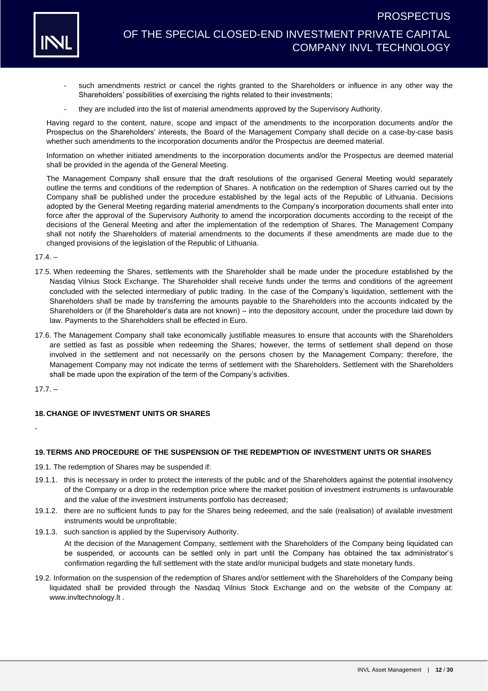

# OF THE SPECIAL CLOSED-END INVESTMENT PRIVATE CAPITAL COMPANY INVL TECHNOLOGY

- such amendments restrict or cancel the rights granted to the Shareholders or influence in any other way the Shareholders' possibilities of exercising the rights related to their investments;
- they are included into the list of material amendments approved by the Supervisory Authority.

Having regard to the content, nature, scope and impact of the amendments to the incorporation documents and/or the Prospectus on the Shareholders' interests, the Board of the Management Company shall decide on a case-by-case basis whether such amendments to the incorporation documents and/or the Prospectus are deemed material.

Information on whether initiated amendments to the incorporation documents and/or the Prospectus are deemed material shall be provided in the agenda of the General Meeting.

The Management Company shall ensure that the draft resolutions of the organised General Meeting would separately outline the terms and conditions of the redemption of Shares. A notification on the redemption of Shares carried out by the Company shall be published under the procedure established by the legal acts of the Republic of Lithuania. Decisions adopted by the General Meeting regarding material amendments to the Company's incorporation documents shall enter into force after the approval of the Supervisory Authority to amend the incorporation documents according to the receipt of the decisions of the General Meeting and after the implementation of the redemption of Shares. The Management Company shall not notify the Shareholders of material amendments to the documents if these amendments are made due to the changed provisions of the legislation of the Republic of Lithuania.

 $17.4 -$ 

- 17.5. When redeeming the Shares, settlements with the Shareholder shall be made under the procedure established by the Nasdaq Vilnius Stock Exchange. The Shareholder shall receive funds under the terms and conditions of the agreement concluded with the selected intermediary of public trading. In the case of the Company's liquidation, settlement with the Shareholders shall be made by transferring the amounts payable to the Shareholders into the accounts indicated by the Shareholders or (if the Shareholder's data are not known) – into the depository account, under the procedure laid down by law. Payments to the Shareholders shall be effected in Euro.
- 17.6. The Management Company shall take economically justifiable measures to ensure that accounts with the Shareholders are settled as fast as possible when redeeming the Shares; however, the terms of settlement shall depend on those involved in the settlement and not necessarily on the persons chosen by the Management Company; therefore, the Management Company may not indicate the terms of settlement with the Shareholders. Settlement with the Shareholders shall be made upon the expiration of the term of the Company's activities.

 $17.7. -$ 

-

### **18. CHANGE OF INVESTMENT UNITS OR SHARES**

### **19. TERMS AND PROCEDURE OF THE SUSPENSION OF THE REDEMPTION OF INVESTMENT UNITS OR SHARES**

19.1. The redemption of Shares may be suspended if:

- 19.1.1. this is necessary in order to protect the interests of the public and of the Shareholders against the potential insolvency of the Company or a drop in the redemption price where the market position of investment instruments is unfavourable and the value of the investment instruments portfolio has decreased;
- 19.1.2. there are no sufficient funds to pay for the Shares being redeemed, and the sale (realisation) of available investment instruments would be unprofitable;
- 19.1.3. such sanction is applied by the Supervisory Authority.

At the decision of the Management Company, settlement with the Shareholders of the Company being liquidated can be suspended, or accounts can be settled only in part until the Company has obtained the tax administrator's confirmation regarding the full settlement with the state and/or municipal budgets and state monetary funds.

19.2. Information on the suspension of the redemption of Shares and/or settlement with the Shareholders of the Company being liquidated shall be provided through the Nasdaq Vilnius Stock Exchange and on the website of the Company at: [www.invltechnology.lt](http://www.invltechnology.com/) .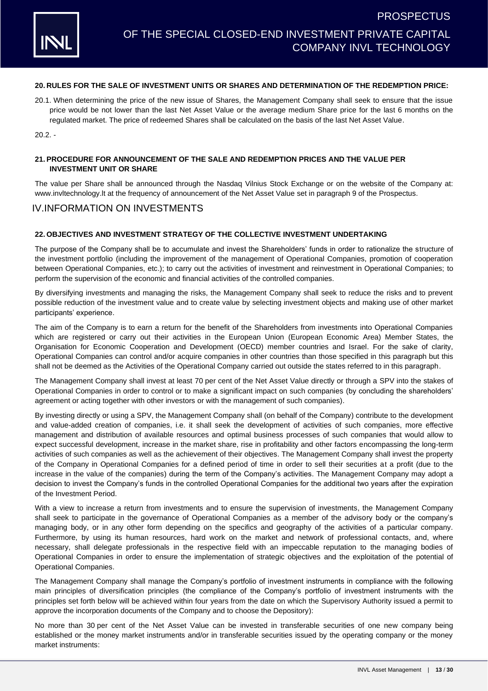### **20. RULES FOR THE SALE OF INVESTMENT UNITS OR SHARES AND DETERMINATION OF THE REDEMPTION PRICE:**

20.1. When determining the price of the new issue of Shares, the Management Company shall seek to ensure that the issue price would be not lower than the last Net Asset Value or the average medium Share price for the last 6 months on the regulated market. The price of redeemed Shares shall be calculated on the basis of the last Net Asset Value.

 $20.2 -$ 

### **21. PROCEDURE FOR ANNOUNCEMENT OF THE SALE AND REDEMPTION PRICES AND THE VALUE PER INVESTMENT UNIT OR SHARE**

The value per Share shall be announced through the Nasdaq Vilnius Stock Exchange or on the website of the Company at: [www.invltechnology.lt](http://www.invltechnology.com/) at the frequency of announcement of the Net Asset Value set in paragraph 9 of the Prospectus.

### IV.INFORMATION ON INVESTMENTS

### **22. OBJECTIVES AND INVESTMENT STRATEGY OF THE COLLECTIVE INVESTMENT UNDERTAKING**

The purpose of the Company shall be to accumulate and invest the Shareholders' funds in order to rationalize the structure of the investment portfolio (including the improvement of the management of Operational Companies, promotion of cooperation between Operational Companies, etc.); to carry out the activities of investment and reinvestment in Operational Companies; to perform the supervision of the economic and financial activities of the controlled companies.

By diversifying investments and managing the risks, the Management Company shall seek to reduce the risks and to prevent possible reduction of the investment value and to create value by selecting investment objects and making use of other market participants' experience.

The aim of the Company is to earn a return for the benefit of the Shareholders from investments into Operational Companies which are registered or carry out their activities in the European Union (European Economic Area) Member States, the Organisation for Economic Cooperation and Development (OECD) member countries and Israel. For the sake of clarity, Operational Companies can control and/or acquire companies in other countries than those specified in this paragraph but this shall not be deemed as the Activities of the Operational Company carried out outside the states referred to in this paragraph.

The Management Company shall invest at least 70 per cent of the Net Asset Value directly or through a SPV into the stakes of Operational Companies in order to control or to make a significant impact on such companies (by concluding the shareholders' agreement or acting together with other investors or with the management of such companies).

By investing directly or using a SPV, the Management Company shall (on behalf of the Company) contribute to the development and value-added creation of companies, i.e. it shall seek the development of activities of such companies, more effective management and distribution of available resources and optimal business processes of such companies that would allow to expect successful development, increase in the market share, rise in profitability and other factors encompassing the long-term activities of such companies as well as the achievement of their objectives. The Management Company shall invest the property of the Company in Operational Companies for a defined period of time in order to sell their securities at a profit (due to the increase in the value of the companies) during the term of the Company's activities. The Management Company may adopt a decision to invest the Company's funds in the controlled Operational Companies for the additional two years after the expiration of the Investment Period.

With a view to increase a return from investments and to ensure the supervision of investments, the Management Company shall seek to participate in the governance of Operational Companies as a member of the advisory body or the company's managing body, or in any other form depending on the specifics and geography of the activities of a particular company. Furthermore, by using its human resources, hard work on the market and network of professional contacts, and, where necessary, shall delegate professionals in the respective field with an impeccable reputation to the managing bodies of Operational Companies in order to ensure the implementation of strategic objectives and the exploitation of the potential of Operational Companies.

The Management Company shall manage the Company's portfolio of investment instruments in compliance with the following main principles of diversification principles (the compliance of the Company's portfolio of investment instruments with the principles set forth below will be achieved within four years from the date on which the Supervisory Authority issued a permit to approve the incorporation documents of the Company and to choose the Depository):

No more than 30 per cent of the Net Asset Value can be invested in transferable securities of one new company being established or the money market instruments and/or in transferable securities issued by the operating company or the money market instruments: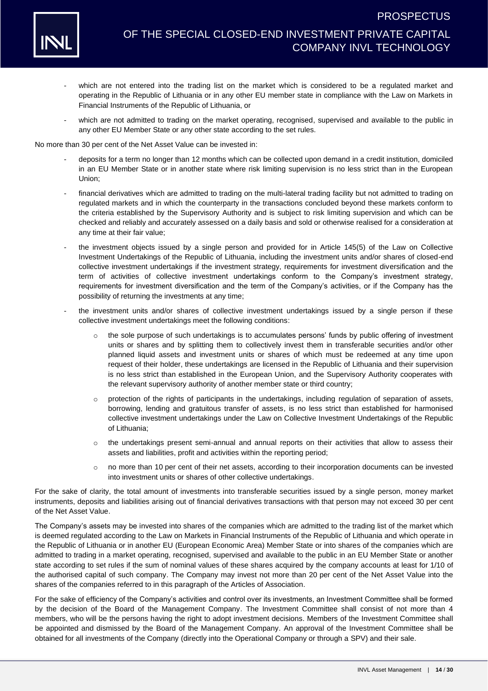

- which are not entered into the trading list on the market which is considered to be a regulated market and operating in the Republic of Lithuania or in any other EU member state in compliance with the Law on Markets in Financial Instruments of the Republic of Lithuania, or
- which are not admitted to trading on the market operating, recognised, supervised and available to the public in any other EU Member State or any other state according to the set rules.

No more than 30 per cent of the Net Asset Value can be invested in:

- deposits for a term no longer than 12 months which can be collected upon demand in a credit institution, domiciled in an EU Member State or in another state where risk limiting supervision is no less strict than in the European Union;
- financial derivatives which are admitted to trading on the multi-lateral trading facility but not admitted to trading on regulated markets and in which the counterparty in the transactions concluded beyond these markets conform to the criteria established by the Supervisory Authority and is subject to risk limiting supervision and which can be checked and reliably and accurately assessed on a daily basis and sold or otherwise realised for a consideration at any time at their fair value;
- the investment objects issued by a single person and provided for in Article 145(5) of the Law on Collective Investment Undertakings of the Republic of Lithuania, including the investment units and/or shares of closed-end collective investment undertakings if the investment strategy, requirements for investment diversification and the term of activities of collective investment undertakings conform to the Company's investment strategy, requirements for investment diversification and the term of the Company's activities, or if the Company has the possibility of returning the investments at any time;
- the investment units and/or shares of collective investment undertakings issued by a single person if these collective investment undertakings meet the following conditions:
	- o the sole purpose of such undertakings is to accumulates persons' funds by public offering of investment units or shares and by splitting them to collectively invest them in transferable securities and/or other planned liquid assets and investment units or shares of which must be redeemed at any time upon request of their holder, these undertakings are licensed in the Republic of Lithuania and their supervision is no less strict than established in the European Union, and the Supervisory Authority cooperates with the relevant supervisory authority of another member state or third country;
	- o protection of the rights of participants in the undertakings, including regulation of separation of assets, borrowing, lending and gratuitous transfer of assets, is no less strict than established for harmonised collective investment undertakings under the Law on Collective Investment Undertakings of the Republic of Lithuania;
	- o the undertakings present semi-annual and annual reports on their activities that allow to assess their assets and liabilities, profit and activities within the reporting period;
	- o no more than 10 per cent of their net assets, according to their incorporation documents can be invested into investment units or shares of other collective undertakings.

For the sake of clarity, the total amount of investments into transferable securities issued by a single person, money market instruments, deposits and liabilities arising out of financial derivatives transactions with that person may not exceed 30 per cent of the Net Asset Value.

The Company's assets may be invested into shares of the companies which are admitted to the trading list of the market which is deemed regulated according to the Law on Markets in Financial Instruments of the Republic of Lithuania and which operate in the Republic of Lithuania or in another EU (European Economic Area) Member State or into shares of the companies which are admitted to trading in a market operating, recognised, supervised and available to the public in an EU Member State or another state according to set rules if the sum of nominal values of these shares acquired by the company accounts at least for 1/10 of the authorised capital of such company. The Company may invest not more than 20 per cent of the Net Asset Value into the shares of the companies referred to in this paragraph of the Articles of Association.

For the sake of efficiency of the Company's activities and control over its investments, an Investment Committee shall be formed by the decision of the Board of the Management Company. The Investment Committee shall consist of not more than 4 members, who will be the persons having the right to adopt investment decisions. Members of the Investment Committee shall be appointed and dismissed by the Board of the Management Company. An approval of the Investment Committee shall be obtained for all investments of the Company (directly into the Operational Company or through a SPV) and their sale.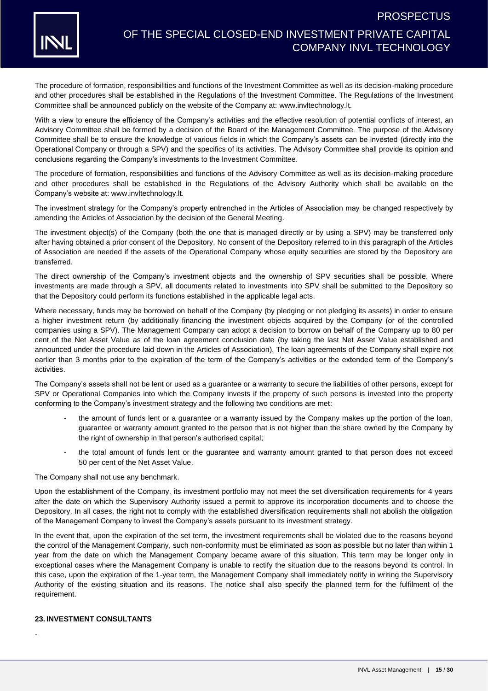

# OF THE SPECIAL CLOSED-END INVESTMENT PRIVATE CAPITAL COMPANY INVL TECHNOLOGY

The procedure of formation, responsibilities and functions of the Investment Committee as well as its decision-making procedure and other procedures shall be established in the Regulations of the Investment Committee. The Regulations of the Investment Committee shall be announced publicly on the website of the Company at: [www.invltechnology.lt.](http://www.invltechnology.lt/)

With a view to ensure the efficiency of the Company's activities and the effective resolution of potential conflicts of interest, an Advisory Committee shall be formed by a decision of the Board of the Management Committee. The purpose of the Advisory Committee shall be to ensure the knowledge of various fields in which the Company's assets can be invested (directly into the Operational Company or through a SPV) and the specifics of its activities. The Advisory Committee shall provide its opinion and conclusions regarding the Company's investments to the Investment Committee.

The procedure of formation, responsibilities and functions of the Advisory Committee as well as its decision-making procedure and other procedures shall be established in the Regulations of the Advisory Authority which shall be available on the Company's website at: [www.invltechnology.lt.](http://www.invltechnology.lt/)

The investment strategy for the Company's property entrenched in the Articles of Association may be changed respectively by amending the Articles of Association by the decision of the General Meeting.

The investment object(s) of the Company (both the one that is managed directly or by using a SPV) may be transferred only after having obtained a prior consent of the Depository. No consent of the Depository referred to in this paragraph of the Articles of Association are needed if the assets of the Operational Company whose equity securities are stored by the Depository are transferred.

The direct ownership of the Company's investment objects and the ownership of SPV securities shall be possible. Where investments are made through a SPV, all documents related to investments into SPV shall be submitted to the Depository so that the Depository could perform its functions established in the applicable legal acts.

Where necessary, funds may be borrowed on behalf of the Company (by pledging or not pledging its assets) in order to ensure a higher investment return (by additionally financing the investment objects acquired by the Company (or of the controlled companies using a SPV). The Management Company can adopt a decision to borrow on behalf of the Company up to 80 per cent of the Net Asset Value as of the loan agreement conclusion date (by taking the last Net Asset Value established and announced under the procedure laid down in the Articles of Association). The loan agreements of the Company shall expire not earlier than 3 months prior to the expiration of the term of the Company's activities or the extended term of the Company's activities.

The Company's assets shall not be lent or used as a guarantee or a warranty to secure the liabilities of other persons, except for SPV or Operational Companies into which the Company invests if the property of such persons is invested into the property conforming to the Company's investment strategy and the following two conditions are met:

- the amount of funds lent or a quarantee or a warranty issued by the Company makes up the portion of the loan, guarantee or warranty amount granted to the person that is not higher than the share owned by the Company by the right of ownership in that person's authorised capital;
- the total amount of funds lent or the guarantee and warranty amount granted to that person does not exceed 50 per cent of the Net Asset Value.

The Company shall not use any benchmark.

Upon the establishment of the Company, its investment portfolio may not meet the set diversification requirements for 4 years after the date on which the Supervisory Authority issued a permit to approve its incorporation documents and to choose the Depository. In all cases, the right not to comply with the established diversification requirements shall not abolish the obligation of the Management Company to invest the Company's assets pursuant to its investment strategy.

In the event that, upon the expiration of the set term, the investment requirements shall be violated due to the reasons beyond the control of the Management Company, such non-conformity must be eliminated as soon as possible but no later than within 1 year from the date on which the Management Company became aware of this situation. This term may be longer only in exceptional cases where the Management Company is unable to rectify the situation due to the reasons beyond its control. In this case, upon the expiration of the 1-year term, the Management Company shall immediately notify in writing the Supervisory Authority of the existing situation and its reasons. The notice shall also specify the planned term for the fulfilment of the requirement.

### **23. INVESTMENT CONSULTANTS**

-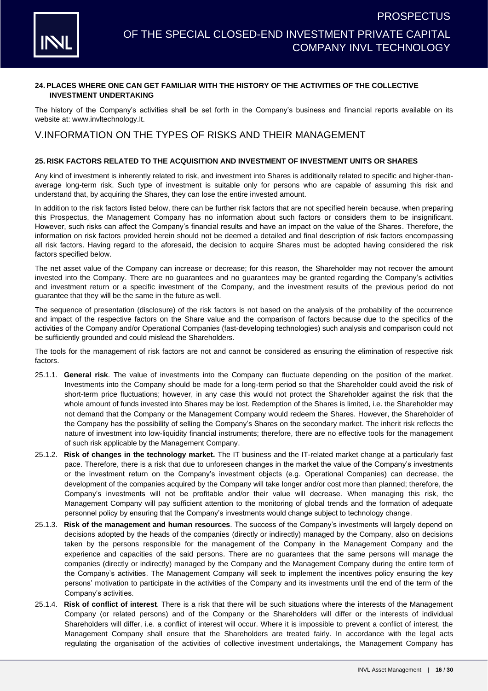

#### **24. PLACES WHERE ONE CAN GET FAMILIAR WITH THE HISTORY OF THE ACTIVITIES OF THE COLLECTIVE INVESTMENT UNDERTAKING**

The history of the Company's activities shall be set forth in the Company's business and financial reports available on its website at: [www.invltechnology.lt.](http://www.invltechnology.com/)

### V.INFORMATION ON THE TYPES OF RISKS AND THEIR MANAGEMENT

### **25. RISK FACTORS RELATED TO THE ACQUISITION AND INVESTMENT OF INVESTMENT UNITS OR SHARES**

Any kind of investment is inherently related to risk, and investment into Shares is additionally related to specific and higher-thanaverage long-term risk. Such type of investment is suitable only for persons who are capable of assuming this risk and understand that, by acquiring the Shares, they can lose the entire invested amount.

In addition to the risk factors listed below, there can be further risk factors that are not specified herein because, when preparing this Prospectus, the Management Company has no information about such factors or considers them to be insignificant. However, such risks can affect the Company's financial results and have an impact on the value of the Shares. Therefore, the information on risk factors provided herein should not be deemed a detailed and final description of risk factors encompassing all risk factors. Having regard to the aforesaid, the decision to acquire Shares must be adopted having considered the risk factors specified below.

The net asset value of the Company can increase or decrease; for this reason, the Shareholder may not recover the amount invested into the Company. There are no guarantees and no guarantees may be granted regarding the Company's activities and investment return or a specific investment of the Company, and the investment results of the previous period do not guarantee that they will be the same in the future as well.

The sequence of presentation (disclosure) of the risk factors is not based on the analysis of the probability of the occurrence and impact of the respective factors on the Share value and the comparison of factors because due to the specifics of the activities of the Company and/or Operational Companies (fast-developing technologies) such analysis and comparison could not be sufficiently grounded and could mislead the Shareholders.

The tools for the management of risk factors are not and cannot be considered as ensuring the elimination of respective risk factors.

- 25.1.1. **General risk**. The value of investments into the Company can fluctuate depending on the position of the market. Investments into the Company should be made for a long-term period so that the Shareholder could avoid the risk of short-term price fluctuations; however, in any case this would not protect the Shareholder against the risk that the whole amount of funds invested into Shares may be lost. Redemption of the Shares is limited, i.e. the Shareholder may not demand that the Company or the Management Company would redeem the Shares. However, the Shareholder of the Company has the possibility of selling the Company's Shares on the secondary market. The inherit risk reflects the nature of investment into low-liquidity financial instruments; therefore, there are no effective tools for the management of such risk applicable by the Management Company.
- 25.1.2. **Risk of changes in the technology market.** The IT business and the IT-related market change at a particularly fast pace. Therefore, there is a risk that due to unforeseen changes in the market the value of the Company's investments or the investment return on the Company's investment objects (e.g. Operational Companies) can decrease, the development of the companies acquired by the Company will take longer and/or cost more than planned; therefore, the Company's investments will not be profitable and/or their value will decrease. When managing this risk, the Management Company will pay sufficient attention to the monitoring of global trends and the formation of adequate personnel policy by ensuring that the Company's investments would change subject to technology change.
- 25.1.3. **Risk of the management and human resources**. The success of the Company's investments will largely depend on decisions adopted by the heads of the companies (directly or indirectly) managed by the Company, also on decisions taken by the persons responsible for the management of the Company in the Management Company and the experience and capacities of the said persons. There are no guarantees that the same persons will manage the companies (directly or indirectly) managed by the Company and the Management Company during the entire term of the Company's activities. The Management Company will seek to implement the incentives policy ensuring the key persons' motivation to participate in the activities of the Company and its investments until the end of the term of the Company's activities.
- 25.1.4. **Risk of conflict of interest**. There is a risk that there will be such situations where the interests of the Management Company (or related persons) and of the Company or the Shareholders will differ or the interests of individual Shareholders will differ, i.e. a conflict of interest will occur. Where it is impossible to prevent a conflict of interest, the Management Company shall ensure that the Shareholders are treated fairly. In accordance with the legal acts regulating the organisation of the activities of collective investment undertakings, the Management Company has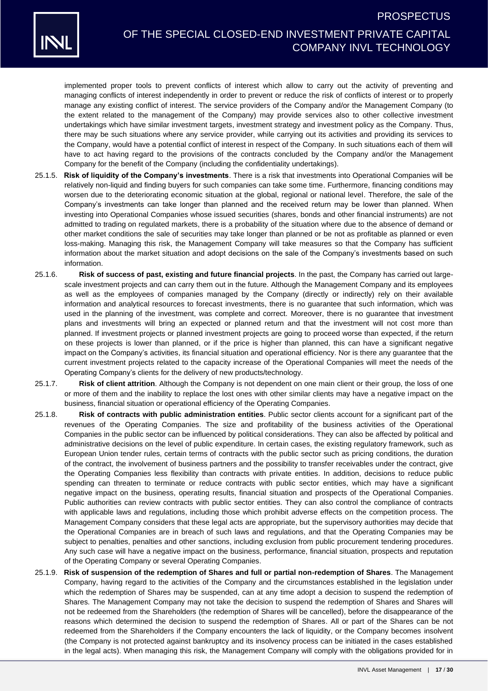

# OF THE SPECIAL CLOSED-END INVESTMENT PRIVATE CAPITAL COMPANY INVL TECHNOLOGY

implemented proper tools to prevent conflicts of interest which allow to carry out the activity of preventing and managing conflicts of interest independently in order to prevent or reduce the risk of conflicts of interest or to properly manage any existing conflict of interest. The service providers of the Company and/or the Management Company (to the extent related to the management of the Company) may provide services also to other collective investment undertakings which have similar investment targets, investment strategy and investment policy as the Company. Thus, there may be such situations where any service provider, while carrying out its activities and providing its services to the Company, would have a potential conflict of interest in respect of the Company. In such situations each of them will have to act having regard to the provisions of the contracts concluded by the Company and/or the Management Company for the benefit of the Company (including the confidentiality undertakings).

- 25.1.5. **Risk of liquidity of the Company's investments**. There is a risk that investments into Operational Companies will be relatively non-liquid and finding buyers for such companies can take some time. Furthermore, financing conditions may worsen due to the deteriorating economic situation at the global, regional or national level. Therefore, the sale of the Company's investments can take longer than planned and the received return may be lower than planned. When investing into Operational Companies whose issued securities (shares, bonds and other financial instruments) are not admitted to trading on regulated markets, there is a probability of the situation where due to the absence of demand or other market conditions the sale of securities may take longer than planned or be not as profitable as planned or even loss-making. Managing this risk, the Management Company will take measures so that the Company has sufficient information about the market situation and adopt decisions on the sale of the Company's investments based on such information.
- 25.1.6. **Risk of success of past, existing and future financial projects**. In the past, the Company has carried out largescale investment projects and can carry them out in the future. Although the Management Company and its employees as well as the employees of companies managed by the Company (directly or indirectly) rely on their available information and analytical resources to forecast investments, there is no guarantee that such information, which was used in the planning of the investment, was complete and correct. Moreover, there is no guarantee that investment plans and investments will bring an expected or planned return and that the investment will not cost more than planned. If investment projects or planned investment projects are going to proceed worse than expected, if the return on these projects is lower than planned, or if the price is higher than planned, this can have a significant negative impact on the Company's activities, its financial situation and operational efficiency. Nor is there any guarantee that the current investment projects related to the capacity increase of the Operational Companies will meet the needs of the Operating Company's clients for the delivery of new products/technology.
- 25.1.7. **Risk of client attrition**. Although the Company is not dependent on one main client or their group, the loss of one or more of them and the inability to replace the lost ones with other similar clients may have a negative impact on the business, financial situation or operational efficiency of the Operating Companies.
- 25.1.8. **Risk of contracts with public administration entities**. Public sector clients account for a significant part of the revenues of the Operating Companies. The size and profitability of the business activities of the Operational Companies in the public sector can be influenced by political considerations. They can also be affected by political and administrative decisions on the level of public expenditure. In certain cases, the existing regulatory framework, such as European Union tender rules, certain terms of contracts with the public sector such as pricing conditions, the duration of the contract, the involvement of business partners and the possibility to transfer receivables under the contract, give the Operating Companies less flexibility than contracts with private entities. In addition, decisions to reduce public spending can threaten to terminate or reduce contracts with public sector entities, which may have a significant negative impact on the business, operating results, financial situation and prospects of the Operational Companies. Public authorities can review contracts with public sector entities. They can also control the compliance of contracts with applicable laws and regulations, including those which prohibit adverse effects on the competition process. The Management Company considers that these legal acts are appropriate, but the supervisory authorities may decide that the Operational Companies are in breach of such laws and regulations, and that the Operating Companies may be subject to penalties, penalties and other sanctions, including exclusion from public procurement tendering procedures. Any such case will have a negative impact on the business, performance, financial situation, prospects and reputation of the Operating Company or several Operating Companies.
- 25.1.9. **Risk of suspension of the redemption of Shares and full or partial non-redemption of Shares**. The Management Company, having regard to the activities of the Company and the circumstances established in the legislation under which the redemption of Shares may be suspended, can at any time adopt a decision to suspend the redemption of Shares. The Management Company may not take the decision to suspend the redemption of Shares and Shares will not be redeemed from the Shareholders (the redemption of Shares will be cancelled), before the disappearance of the reasons which determined the decision to suspend the redemption of Shares. All or part of the Shares can be not redeemed from the Shareholders if the Company encounters the lack of liquidity, or the Company becomes insolvent (the Company is not protected against bankruptcy and its insolvency process can be initiated in the cases established in the legal acts). When managing this risk, the Management Company will comply with the obligations provided for in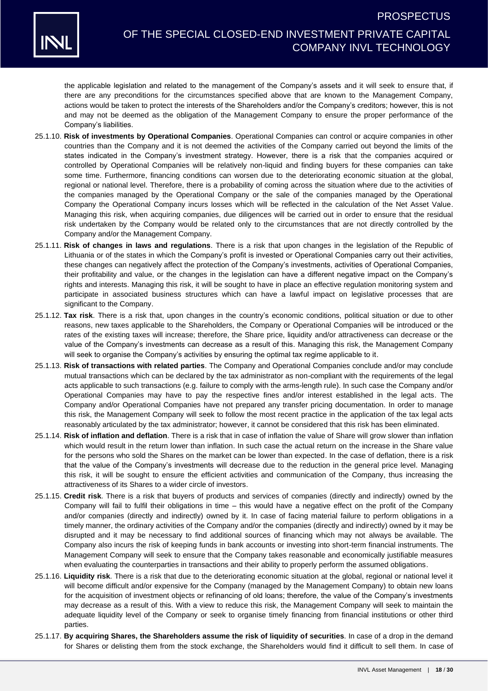

# OF THE SPECIAL CLOSED-END INVESTMENT PRIVATE CAPITAL COMPANY INVL TECHNOLOGY

the applicable legislation and related to the management of the Company's assets and it will seek to ensure that, if there are any preconditions for the circumstances specified above that are known to the Management Company, actions would be taken to protect the interests of the Shareholders and/or the Company's creditors; however, this is not and may not be deemed as the obligation of the Management Company to ensure the proper performance of the Company's liabilities.

- 25.1.10. **Risk of investments by Operational Companies**. Operational Companies can control or acquire companies in other countries than the Company and it is not deemed the activities of the Company carried out beyond the limits of the states indicated in the Company's investment strategy. However, there is a risk that the companies acquired or controlled by Operational Companies will be relatively non-liquid and finding buyers for these companies can take some time. Furthermore, financing conditions can worsen due to the deteriorating economic situation at the global, regional or national level. Therefore, there is a probability of coming across the situation where due to the activities of the companies managed by the Operational Company or the sale of the companies managed by the Operational Company the Operational Company incurs losses which will be reflected in the calculation of the Net Asset Value. Managing this risk, when acquiring companies, due diligences will be carried out in order to ensure that the residual risk undertaken by the Company would be related only to the circumstances that are not directly controlled by the Company and/or the Management Company.
- 25.1.11. **Risk of changes in laws and regulations**. There is a risk that upon changes in the legislation of the Republic of Lithuania or of the states in which the Company's profit is invested or Operational Companies carry out their activities, these changes can negatively affect the protection of the Company's investments, activities of Operational Companies, their profitability and value, or the changes in the legislation can have a different negative impact on the Company's rights and interests. Managing this risk, it will be sought to have in place an effective regulation monitoring system and participate in associated business structures which can have a lawful impact on legislative processes that are significant to the Company.
- 25.1.12. **Tax risk**. There is a risk that, upon changes in the country's economic conditions, political situation or due to other reasons, new taxes applicable to the Shareholders, the Company or Operational Companies will be introduced or the rates of the existing taxes will increase; therefore, the Share price, liquidity and/or attractiveness can decrease or the value of the Company's investments can decrease as a result of this. Managing this risk, the Management Company will seek to organise the Company's activities by ensuring the optimal tax regime applicable to it.
- 25.1.13. **Risk of transactions with related parties**. The Company and Operational Companies conclude and/or may conclude mutual transactions which can be declared by the tax administrator as non-compliant with the requirements of the legal acts applicable to such transactions (e.g. failure to comply with the arms-length rule). In such case the Company and/or Operational Companies may have to pay the respective fines and/or interest established in the legal acts. The Company and/or Operational Companies have not prepared any transfer pricing documentation. In order to manage this risk, the Management Company will seek to follow the most recent practice in the application of the tax legal acts reasonably articulated by the tax administrator; however, it cannot be considered that this risk has been eliminated.
- <span id="page-17-0"></span>25.1.14. **Risk of inflation and deflation**. There is a risk that in case of inflation the value of Share will grow slower than inflation which would result in the return lower than inflation. In such case the actual return on the increase in the Share value for the persons who sold the Shares on the market can be lower than expected. In the case of deflation, there is a risk that the value of the Company's investments will decrease due to the reduction in the general price level. Managing this risk, it will be sought to ensure the efficient activities and communication of the Company, thus increasing the attractiveness of its Shares to a wider circle of investors.
- 25.1.15. **Credit risk**. There is a risk that buyers of products and services of companies (directly and indirectly) owned by the Company will fail to fulfil their obligations in time – this would have a negative effect on the profit of the Company and/or companies (directly and indirectly) owned by it. In case of facing material failure to perform obligations in a timely manner, the ordinary activities of the Company and/or the companies (directly and indirectly) owned by it may be disrupted and it may be necessary to find additional sources of financing which may not always be available. The Company also incurs the risk of keeping funds in bank accounts or investing into short-term financial instruments. The Management Company will seek to ensure that the Company takes reasonable and economically justifiable measures when evaluating the counterparties in transactions and their ability to properly perform the assumed obligations.
- 25.1.16. **Liquidity risk**. There is a risk that due to the deteriorating economic situation at the global, regional or national level it will become difficult and/or expensive for the Company (managed by the Management Company) to obtain new loans for the acquisition of investment objects or refinancing of old loans; therefore, the value of the Company's investments may decrease as a result of this. With a view to reduce this risk, the Management Company will seek to maintain the adequate liquidity level of the Company or seek to organise timely financing from financial institutions or other third parties.
- 25.1.17. **By acquiring Shares, the Shareholders assume the risk of liquidity of securities**. In case of a drop in the demand for Shares or delisting them from the stock exchange, the Shareholders would find it difficult to sell them. In case of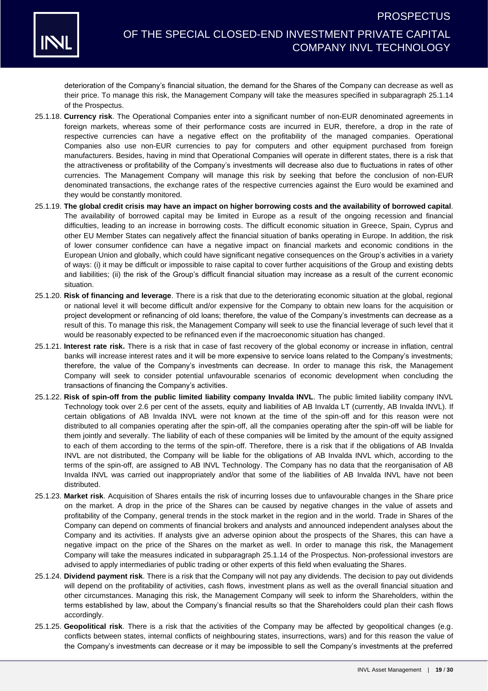

deterioration of the Company's financial situation, the demand for the Shares of the Company can decrease as well as their price. To manage this risk, the Management Company will take the measures specified in subparagraph [25.1.14](#page-17-0) of the Prospectus.

- 25.1.18. **Currency risk**. The Operational Companies enter into a significant number of non-EUR denominated agreements in foreign markets, whereas some of their performance costs are incurred in EUR, therefore, a drop in the rate of respective currencies can have a negative effect on the profitability of the managed companies. Operational Companies also use non-EUR currencies to pay for computers and other equipment purchased from foreign manufacturers. Besides, having in mind that Operational Companies will operate in different states, there is a risk that the attractiveness or profitability of the Company's investments will decrease also due to fluctuations in rates of other currencies. The Management Company will manage this risk by seeking that before the conclusion of non-EUR denominated transactions, the exchange rates of the respective currencies against the Euro would be examined and they would be constantly monitored.
- 25.1.19. **The global credit crisis may have an impact on higher borrowing costs and the availability of borrowed capital**. The availability of borrowed capital may be limited in Europe as a result of the ongoing recession and financial difficulties, leading to an increase in borrowing costs. The difficult economic situation in Greece, Spain, Cyprus and other EU Member States can negatively affect the financial situation of banks operating in Europe. In addition, the risk of lower consumer confidence can have a negative impact on financial markets and economic conditions in the European Union and globally, which could have significant negative consequences on the Group's activities in a variety of ways: (i) it may be difficult or impossible to raise capital to cover further acquisitions of the Group and existing debts and liabilities; (ii) the risk of the Group's difficult financial situation may increase as a result of the current economic situation.
- 25.1.20. **Risk of financing and leverage**. There is a risk that due to the deteriorating economic situation at the global, regional or national level it will become difficult and/or expensive for the Company to obtain new loans for the acquisition or project development or refinancing of old loans; therefore, the value of the Company's investments can decrease as a result of this. To manage this risk, the Management Company will seek to use the financial leverage of such level that it would be reasonably expected to be refinanced even if the macroeconomic situation has changed.
- 25.1.21. **Interest rate risk.** There is a risk that in case of fast recovery of the global economy or increase in inflation, central banks will increase interest rates and it will be more expensive to service loans related to the Company's investments; therefore, the value of the Company's investments can decrease. In order to manage this risk, the Management Company will seek to consider potential unfavourable scenarios of economic development when concluding the transactions of financing the Company's activities.
- 25.1.22. **Risk of spin-off from the public limited liability company Invalda INVL**. The public limited liability company INVL Technology took over 2.6 per cent of the assets, equity and liabilities of AB Invalda LT (currently, AB Invalda INVL). If certain obligations of AB Invalda INVL were not known at the time of the spin-off and for this reason were not distributed to all companies operating after the spin-off, all the companies operating after the spin-off will be liable for them jointly and severally. The liability of each of these companies will be limited by the amount of the equity assigned to each of them according to the terms of the spin-off. Therefore, there is a risk that if the obligations of AB Invalda INVL are not distributed, the Company will be liable for the obligations of AB Invalda INVL which, according to the terms of the spin-off, are assigned to AB INVL Technology. The Company has no data that the reorganisation of AB Invalda INVL was carried out inappropriately and/or that some of the liabilities of AB Invalda INVL have not been distributed.
- 25.1.23. **Market risk**. Acquisition of Shares entails the risk of incurring losses due to unfavourable changes in the Share price on the market. A drop in the price of the Shares can be caused by negative changes in the value of assets and profitability of the Company, general trends in the stock market in the region and in the world. Trade in Shares of the Company can depend on comments of financial brokers and analysts and announced independent analyses about the Company and its activities. If analysts give an adverse opinion about the prospects of the Shares, this can have a negative impact on the price of the Shares on the market as well. In order to manage this risk, the Management Company will take the measures indicated in subparagraph [25.1.14](#page-17-0) of the Prospectus. Non-professional investors are advised to apply intermediaries of public trading or other experts of this field when evaluating the Shares.
- 25.1.24. **Dividend payment risk**. There is a risk that the Company will not pay any dividends. The decision to pay out dividends will depend on the profitability of activities, cash flows, investment plans as well as the overall financial situation and other circumstances. Managing this risk, the Management Company will seek to inform the Shareholders, within the terms established by law, about the Company's financial results so that the Shareholders could plan their cash flows accordingly.
- 25.1.25. **Geopolitical risk**. There is a risk that the activities of the Company may be affected by geopolitical changes (e.g. conflicts between states, internal conflicts of neighbouring states, insurrections, wars) and for this reason the value of the Company's investments can decrease or it may be impossible to sell the Company's investments at the preferred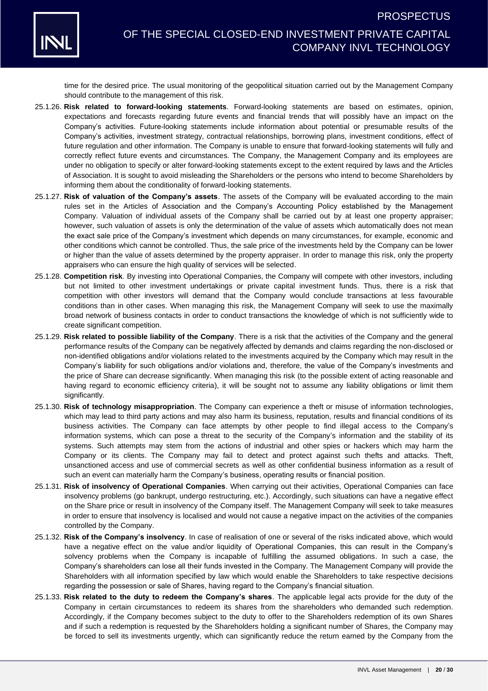

time for the desired price. The usual monitoring of the geopolitical situation carried out by the Management Company should contribute to the management of this risk.

- 25.1.26. **Risk related to forward-looking statements**. Forward-looking statements are based on estimates, opinion, expectations and forecasts regarding future events and financial trends that will possibly have an impact on the Company's activities. Future-looking statements include information about potential or presumable results of the Company's activities, investment strategy, contractual relationships, borrowing plans, investment conditions, effect of future regulation and other information. The Company is unable to ensure that forward-looking statements will fully and correctly reflect future events and circumstances. The Company, the Management Company and its employees are under no obligation to specify or alter forward-looking statements except to the extent required by laws and the Articles of Association. It is sought to avoid misleading the Shareholders or the persons who intend to become Shareholders by informing them about the conditionality of forward-looking statements.
- 25.1.27. **Risk of valuation of the Company's assets**. The assets of the Company will be evaluated according to the main rules set in the Articles of Association and the Company's Accounting Policy established by the Management Company. Valuation of individual assets of the Company shall be carried out by at least one property appraiser; however, such valuation of assets is only the determination of the value of assets which automatically does not mean the exact sale price of the Company's investment which depends on many circumstances, for example, economic and other conditions which cannot be controlled. Thus, the sale price of the investments held by the Company can be lower or higher than the value of assets determined by the property appraiser. In order to manage this risk, only the property appraisers who can ensure the high quality of services will be selected.
- 25.1.28. **Competition risk**. By investing into Operational Companies, the Company will compete with other investors, including but not limited to other investment undertakings or private capital investment funds. Thus, there is a risk that competition with other investors will demand that the Company would conclude transactions at less favourable conditions than in other cases. When managing this risk, the Management Company will seek to use the maximally broad network of business contacts in order to conduct transactions the knowledge of which is not sufficiently wide to create significant competition.
- 25.1.29. **Risk related to possible liability of the Company**. There is a risk that the activities of the Company and the general performance results of the Company can be negatively affected by demands and claims regarding the non-disclosed or non-identified obligations and/or violations related to the investments acquired by the Company which may result in the Company's liability for such obligations and/or violations and, therefore, the value of the Company's investments and the price of Share can decrease significantly. When managing this risk (to the possible extent of acting reasonable and having regard to economic efficiency criteria), it will be sought not to assume any liability obligations or limit them significantly.
- 25.1.30. **Risk of technology misappropriation**. The Company can experience a theft or misuse of information technologies, which may lead to third party actions and may also harm its business, reputation, results and financial conditions of its business activities. The Company can face attempts by other people to find illegal access to the Company's information systems, which can pose a threat to the security of the Company's information and the stability of its systems. Such attempts may stem from the actions of industrial and other spies or hackers which may harm the Company or its clients. The Company may fail to detect and protect against such thefts and attacks. Theft, unsanctioned access and use of commercial secrets as well as other confidential business information as a result of such an event can materially harm the Company's business, operating results or financial position.
- 25.1.31. **Risk of insolvency of Operational Companies**. When carrying out their activities, Operational Companies can face insolvency problems (go bankrupt, undergo restructuring, etc.). Accordingly, such situations can have a negative effect on the Share price or result in insolvency of the Company itself. The Management Company will seek to take measures in order to ensure that insolvency is localised and would not cause a negative impact on the activities of the companies controlled by the Company.
- 25.1.32. **Risk of the Company's insolvency**. In case of realisation of one or several of the risks indicated above, which would have a negative effect on the value and/or liquidity of Operational Companies, this can result in the Company's solvency problems when the Company is incapable of fulfilling the assumed obligations. In such a case, the Company's shareholders can lose all their funds invested in the Company. The Management Company will provide the Shareholders with all information specified by law which would enable the Shareholders to take respective decisions regarding the possession or sale of Shares, having regard to the Company's financial situation.
- 25.1.33. **Risk related to the duty to redeem the Company's shares**. The applicable legal acts provide for the duty of the Company in certain circumstances to redeem its shares from the shareholders who demanded such redemption. Accordingly, if the Company becomes subject to the duty to offer to the Shareholders redemption of its own Shares and if such a redemption is requested by the Shareholders holding a significant number of Shares, the Company may be forced to sell its investments urgently, which can significantly reduce the return earned by the Company from the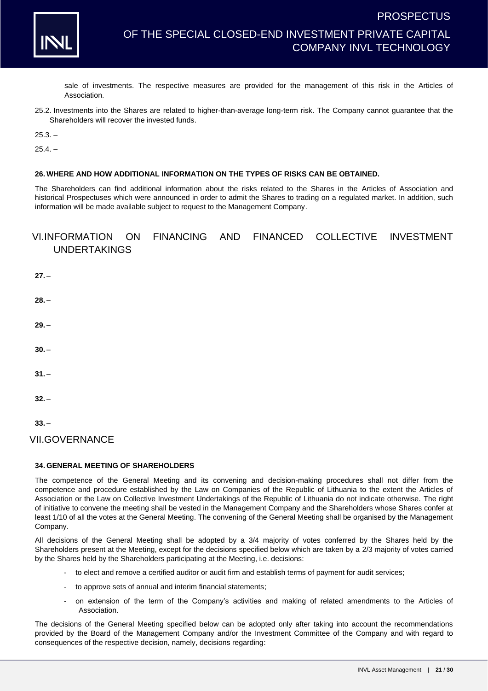

sale of investments. The respective measures are provided for the management of this risk in the Articles of Association.

25.2. Investments into the Shares are related to higher-than-average long-term risk. The Company cannot guarantee that the Shareholders will recover the invested funds.

 $25.3 -$ 

 $25.4. -$ 

### **26. WHERE AND HOW ADDITIONAL INFORMATION ON THE TYPES OF RISKS CAN BE OBTAINED.**

The Shareholders can find additional information about the risks related to the Shares in the Articles of Association and historical Prospectuses which were announced in order to admit the Shares to trading on a regulated market. In addition, such information will be made available subject to request to the Management Company.

### VI.INFORMATION ON FINANCING AND FINANCED COLLECTIVE INVESTMENT UNDERTAKINGS

- **27.** –
- **28.** –
- **29.** –
- **30.** –
- $31. -$
- **32.** –
- **33.** –

VII.GOVERNANCE

### **34. GENERAL MEETING OF SHAREHOLDERS**

The competence of the General Meeting and its convening and decision-making procedures shall not differ from the competence and procedure established by the Law on Companies of the Republic of Lithuania to the extent the Articles of Association or the Law on Collective Investment Undertakings of the Republic of Lithuania do not indicate otherwise. The right of initiative to convene the meeting shall be vested in the Management Company and the Shareholders whose Shares confer at least 1/10 of all the votes at the General Meeting. The convening of the General Meeting shall be organised by the Management Company.

All decisions of the General Meeting shall be adopted by a 3/4 majority of votes conferred by the Shares held by the Shareholders present at the Meeting, except for the decisions specified below which are taken by a 2/3 majority of votes carried by the Shares held by the Shareholders participating at the Meeting, i.e. decisions:

- to elect and remove a certified auditor or audit firm and establish terms of payment for audit services;
- to approve sets of annual and interim financial statements;
- on extension of the term of the Company's activities and making of related amendments to the Articles of Association.

The decisions of the General Meeting specified below can be adopted only after taking into account the recommendations provided by the Board of the Management Company and/or the Investment Committee of the Company and with regard to consequences of the respective decision, namely, decisions regarding: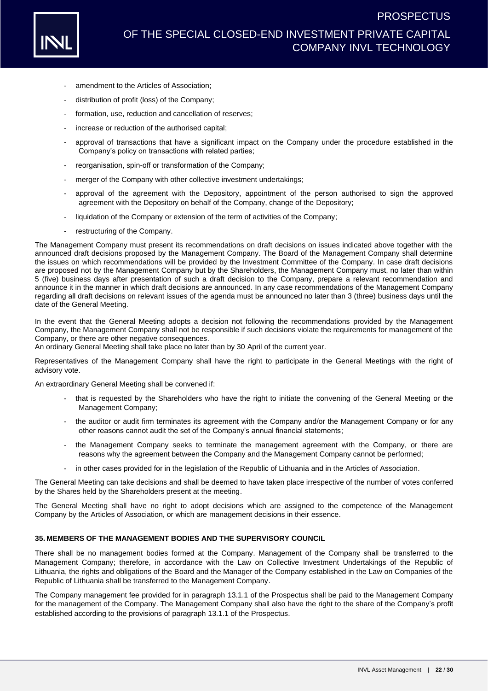

- amendment to the Articles of Association;
- distribution of profit (loss) of the Company;
- formation, use, reduction and cancellation of reserves;
- increase or reduction of the authorised capital;
- approval of transactions that have a significant impact on the Company under the procedure established in the Company's policy on transactions with related parties;
- reorganisation, spin-off or transformation of the Company;
- merger of the Company with other collective investment undertakings;
- approval of the agreement with the Depository, appointment of the person authorised to sign the approved agreement with the Depository on behalf of the Company, change of the Depository;
- liquidation of the Company or extension of the term of activities of the Company;
- restructuring of the Company.

The Management Company must present its recommendations on draft decisions on issues indicated above together with the announced draft decisions proposed by the Management Company. The Board of the Management Company shall determine the issues on which recommendations will be provided by the Investment Committee of the Company. In case draft decisions are proposed not by the Management Company but by the Shareholders, the Management Company must, no later than within 5 (five) business days after presentation of such a draft decision to the Company, prepare a relevant recommendation and announce it in the manner in which draft decisions are announced. In any case recommendations of the Management Company regarding all draft decisions on relevant issues of the agenda must be announced no later than 3 (three) business days until the date of the General Meeting.

In the event that the General Meeting adopts a decision not following the recommendations provided by the Management Company, the Management Company shall not be responsible if such decisions violate the requirements for management of the Company, or there are other negative consequences.

An ordinary General Meeting shall take place no later than by 30 April of the current year.

Representatives of the Management Company shall have the right to participate in the General Meetings with the right of advisory vote.

An extraordinary General Meeting shall be convened if:

- that is requested by the Shareholders who have the right to initiate the convening of the General Meeting or the Management Company;
- the auditor or audit firm terminates its agreement with the Company and/or the Management Company or for any other reasons cannot audit the set of the Company's annual financial statements;
- the Management Company seeks to terminate the management agreement with the Company, or there are reasons why the agreement between the Company and the Management Company cannot be performed;
- in other cases provided for in the legislation of the Republic of Lithuania and in the Articles of Association.

The General Meeting can take decisions and shall be deemed to have taken place irrespective of the number of votes conferred by the Shares held by the Shareholders present at the meeting.

The General Meeting shall have no right to adopt decisions which are assigned to the competence of the Management Company by the Articles of Association, or which are management decisions in their essence.

#### **35. MEMBERS OF THE MANAGEMENT BODIES AND THE SUPERVISORY COUNCIL**

There shall be no management bodies formed at the Company. Management of the Company shall be transferred to the Management Company; therefore, in accordance with the Law on Collective Investment Undertakings of the Republic of Lithuania, the rights and obligations of the Board and the Manager of the Company established in the Law on Companies of the Republic of Lithuania shall be transferred to the Management Company.

The Company management fee provided for in paragraph [13.1.1](#page-5-1) of the Prospectus shall be paid to the Management Company for the management of the Company. The Management Company shall also have the right to the share of the Company's profit established according to the provisions of paragraph [13.1.1](#page-5-1) of the Prospectus.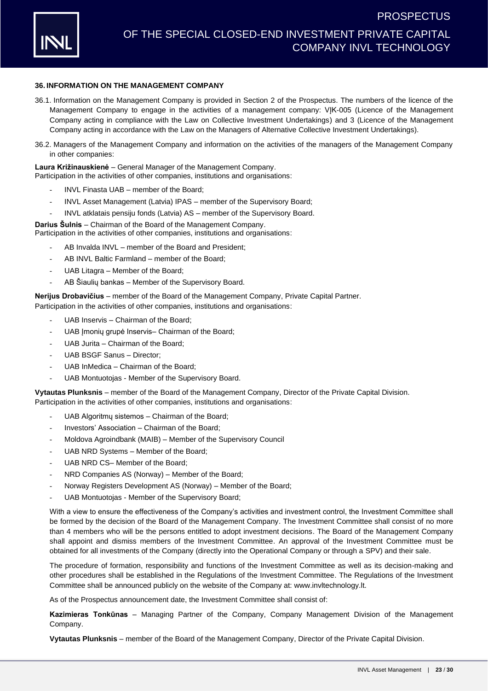

### **36. INFORMATION ON THE MANAGEMENT COMPANY**

- 36.1. Information on the Management Company is provided in Section [2](#page-1-0) of the Prospectus. The numbers of the licence of the Management Company to engage in the activities of a management company: VJK-005 (Licence of the Management Company acting in compliance with the Law on Collective Investment Undertakings) and 3 (Licence of the Management Company acting in accordance with the Law on the Managers of Alternative Collective Investment Undertakings).
- <span id="page-22-0"></span>36.2. Managers of the Management Company and information on the activities of the managers of the Management Company in other companies:

**Laura Križinauskienė** – General Manager of the Management Company. Participation in the activities of other companies, institutions and organisations:

- INVL Finasta UAB member of the Board;
- INVL Asset Management (Latvia) IPAS member of the Supervisory Board;
- INVL atklatais pensiju fonds (Latvia) AS member of the Supervisory Board.

**Darius Šulnis** – Chairman of the Board of the Management Company.

Participation in the activities of other companies, institutions and organisations:

- AB Invalda INVL member of the Board and President;
- AB INVL Baltic Farmland member of the Board:
- UAB Litagra Member of the Board;
- AB Šiaulių bankas Member of the Supervisory Board.

**Nerijus Drobavičius** – member of the Board of the Management Company, Private Capital Partner. Participation in the activities of other companies, institutions and organisations:

- UAB Inservis Chairman of the Board:
- UAB Imoniu grupė Inservis– Chairman of the Board:
- UAB Jurita Chairman of the Board:
- UAB BSGF Sanus Director:
- UAB InMedica Chairman of the Board:
- UAB Montuotojas Member of the Supervisory Board.

**Vytautas Plunksnis** – member of the Board of the Management Company, Director of the Private Capital Division. Participation in the activities of other companies, institutions and organisations:

- UAB Algoritmu sistemos Chairman of the Board;
- Investors' Association Chairman of the Board;
- Moldova Agroindbank (MAIB) Member of the Supervisory Council
- UAB NRD Systems Member of the Board;
- UAB NRD CS- Member of the Board:
- NRD Companies AS (Norway) Member of the Board;
- Norway Registers Development AS (Norway) Member of the Board;
- UAB Montuotojas Member of the Supervisory Board;

With a view to ensure the effectiveness of the Company's activities and investment control, the Investment Committee shall be formed by the decision of the Board of the Management Company. The Investment Committee shall consist of no more than 4 members who will be the persons entitled to adopt investment decisions. The Board of the Management Company shall appoint and dismiss members of the Investment Committee. An approval of the Investment Committee must be obtained for all investments of the Company (directly into the Operational Company or through a SPV) and their sale.

The procedure of formation, responsibility and functions of the Investment Committee as well as its decision-making and other procedures shall be established in the Regulations of the Investment Committee. The Regulations of the Investment Committee shall be announced publicly on the website of the Company at: [www.invltechnology.lt.](http://www.invltechnology.lt/)

As of the Prospectus announcement date, the Investment Committee shall consist of:

**Kazimieras Tonkūnas** – Managing Partner of the Company, Company Management Division of the Management Company.

**Vytautas Plunksnis** – member of the Board of the Management Company, Director of the Private Capital Division.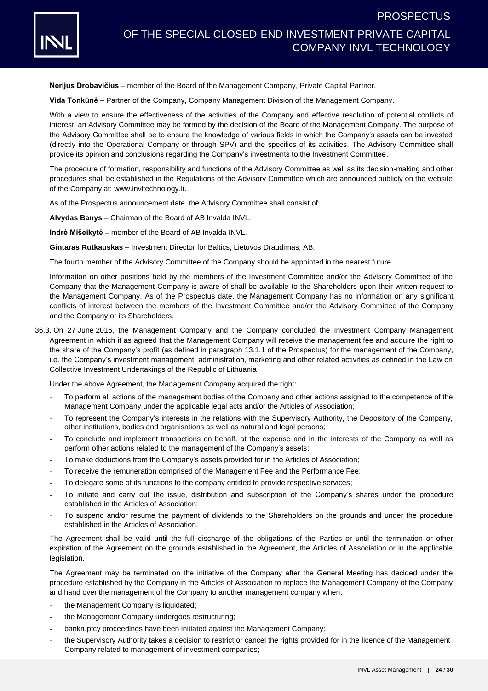

**Nerijus Drobavičius** – member of the Board of the Management Company, Private Capital Partner.

**Vida Tonkūnė** – Partner of the Company, Company Management Division of the Management Company.

With a view to ensure the effectiveness of the activities of the Company and effective resolution of potential conflicts of interest, an Advisory Committee may be formed by the decision of the Board of the Management Company. The purpose of the Advisory Committee shall be to ensure the knowledge of various fields in which the Company's assets can be invested (directly into the Operational Company or through SPV) and the specifics of its activities. The Advisory Committee shall provide its opinion and conclusions regarding the Company's investments to the Investment Committee.

The procedure of formation, responsibility and functions of the Advisory Committee as well as its decision-making and other procedures shall be established in the Regulations of the Advisory Committee which are announced publicly on the website of the Company at: [www.invltechnology.lt.](http://www.invltechnology.lt/)

As of the Prospectus announcement date, the Advisory Committee shall consist of:

**Alvydas Banys** – Chairman of the Board of AB Invalda INVL.

**Indrė Mišeikytė** – member of the Board of AB Invalda INVL.

**Gintaras Rutkauskas** – Investment Director for Baltics, Lietuvos Draudimas, AB.

The fourth member of the Advisory Committee of the Company should be appointed in the nearest future.

Information on other positions held by the members of the Investment Committee and/or the Advisory Committee of the Company that the Management Company is aware of shall be available to the Shareholders upon their written request to the Management Company. As of the Prospectus date, the Management Company has no information on any significant conflicts of interest between the members of the Investment Committee and/or the Advisory Committee of the Company and the Company or its Shareholders.

36.3. On 27 June 2016, the Management Company and the Company concluded the Investment Company Management Agreement in which it as agreed that the Management Company will receive the management fee and acquire the right to the share of the Company's profit (as defined in paragraph [13.1.1](#page-5-1) of the Prospectus) for the management of the Company, i.e. the Company's investment management, administration, marketing and other related activities as defined in the Law on Collective Investment Undertakings of the Republic of Lithuania.

Under the above Agreement, the Management Company acquired the right:

- To perform all actions of the management bodies of the Company and other actions assigned to the competence of the Management Company under the applicable legal acts and/or the Articles of Association;
- To represent the Company's interests in the relations with the Supervisory Authority, the Depository of the Company, other institutions, bodies and organisations as well as natural and legal persons;
- To conclude and implement transactions on behalf, at the expense and in the interests of the Company as well as perform other actions related to the management of the Company's assets;
- To make deductions from the Company's assets provided for in the Articles of Association;
- To receive the remuneration comprised of the Management Fee and the Performance Fee;
- To delegate some of its functions to the company entitled to provide respective services;
- To initiate and carry out the issue, distribution and subscription of the Company's shares under the procedure established in the Articles of Association;
- To suspend and/or resume the payment of dividends to the Shareholders on the grounds and under the procedure established in the Articles of Association.

The Agreement shall be valid until the full discharge of the obligations of the Parties or until the termination or other expiration of the Agreement on the grounds established in the Agreement, the Articles of Association or in the applicable legislation.

The Agreement may be terminated on the initiative of the Company after the General Meeting has decided under the procedure established by the Company in the Articles of Association to replace the Management Company of the Company and hand over the management of the Company to another management company when:

- the Management Company is liquidated;
- the Management Company undergoes restructuring;
- bankruptcy proceedings have been initiated against the Management Company;
- the Supervisory Authority takes a decision to restrict or cancel the rights provided for in the licence of the Management Company related to management of investment companies;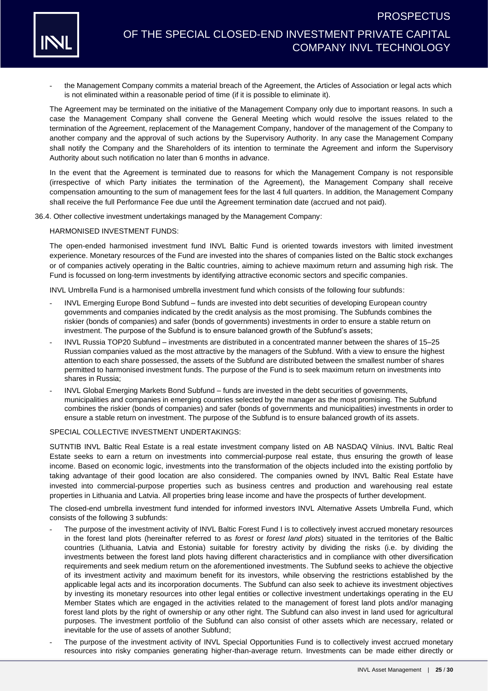

- the Management Company commits a material breach of the Agreement, the Articles of Association or legal acts which is not eliminated within a reasonable period of time (if it is possible to eliminate it).

The Agreement may be terminated on the initiative of the Management Company only due to important reasons. In such a case the Management Company shall convene the General Meeting which would resolve the issues related to the termination of the Agreement, replacement of the Management Company, handover of the management of the Company to another company and the approval of such actions by the Supervisory Authority. In any case the Management Company shall notify the Company and the Shareholders of its intention to terminate the Agreement and inform the Supervisory Authority about such notification no later than 6 months in advance.

In the event that the Agreement is terminated due to reasons for which the Management Company is not responsible (irrespective of which Party initiates the termination of the Agreement), the Management Company shall receive compensation amounting to the sum of management fees for the last 4 full quarters. In addition, the Management Company shall receive the full Performance Fee due until the Agreement termination date (accrued and not paid).

36.4. Other collective investment undertakings managed by the Management Company:

HARMONISED INVESTMENT FUNDS:

The open-ended harmonised investment fund INVL Baltic Fund is oriented towards investors with limited investment experience. Monetary resources of the Fund are invested into the shares of companies listed on the Baltic stock exchanges or of companies actively operating in the Baltic countries, aiming to achieve maximum return and assuming high risk. The Fund is focussed on long-term investments by identifying attractive economic sectors and specific companies.

INVL Umbrella Fund is a harmonised umbrella investment fund which consists of the following four subfunds:

- INVL Emerging Europe Bond Subfund funds are invested into debt securities of developing European country governments and companies indicated by the credit analysis as the most promising. The Subfunds combines the riskier (bonds of companies) and safer (bonds of governments) investments in order to ensure a stable return on investment. The purpose of the Subfund is to ensure balanced growth of the Subfund's assets;
- INVL Russia TOP20 Subfund investments are distributed in a concentrated manner between the shares of 15–25 Russian companies valued as the most attractive by the managers of the Subfund. With a view to ensure the highest attention to each share possessed, the assets of the Subfund are distributed between the smallest number of shares permitted to harmonised investment funds. The purpose of the Fund is to seek maximum return on investments into shares in Russia;
- INVL Global Emerging Markets Bond Subfund funds are invested in the debt securities of governments, municipalities and companies in emerging countries selected by the manager as the most promising. The Subfund combines the riskier (bonds of companies) and safer (bonds of governments and municipalities) investments in order to ensure a stable return on investment. The purpose of the Subfund is to ensure balanced growth of its assets.

#### SPECIAL COLLECTIVE INVESTMENT UNDERTAKINGS:

SUTNTIB INVL Baltic Real Estate is a real estate investment company listed on AB NASDAQ Vilnius. INVL Baltic Real Estate seeks to earn a return on investments into commercial-purpose real estate, thus ensuring the growth of lease income. Based on economic logic, investments into the transformation of the objects included into the existing portfolio by taking advantage of their good location are also considered. The companies owned by INVL Baltic Real Estate have invested into commercial-purpose properties such as business centres and production and warehousing real estate properties in Lithuania and Latvia. All properties bring lease income and have the prospects of further development.

The closed-end umbrella investment fund intended for informed investors INVL Alternative Assets Umbrella Fund, which consists of the following 3 subfunds:

- The purpose of the investment activity of INVL Baltic Forest Fund I is to collectively invest accrued monetary resources in the forest land plots (hereinafter referred to as *forest* or *forest land plots*) situated in the territories of the Baltic countries (Lithuania, Latvia and Estonia) suitable for forestry activity by dividing the risks (i.e. by dividing the investments between the forest land plots having different characteristics and in compliance with other diversification requirements and seek medium return on the aforementioned investments. The Subfund seeks to achieve the objective of its investment activity and maximum benefit for its investors, while observing the restrictions established by the applicable legal acts and its incorporation documents. The Subfund can also seek to achieve its investment objectives by investing its monetary resources into other legal entities or collective investment undertakings operating in the EU Member States which are engaged in the activities related to the management of forest land plots and/or managing forest land plots by the right of ownership or any other right. The Subfund can also invest in land used for agricultural purposes. The investment portfolio of the Subfund can also consist of other assets which are necessary, related or inevitable for the use of assets of another Subfund;
- The purpose of the investment activity of INVL Special Opportunities Fund is to collectively invest accrued monetary resources into risky companies generating higher-than-average return. Investments can be made either directly or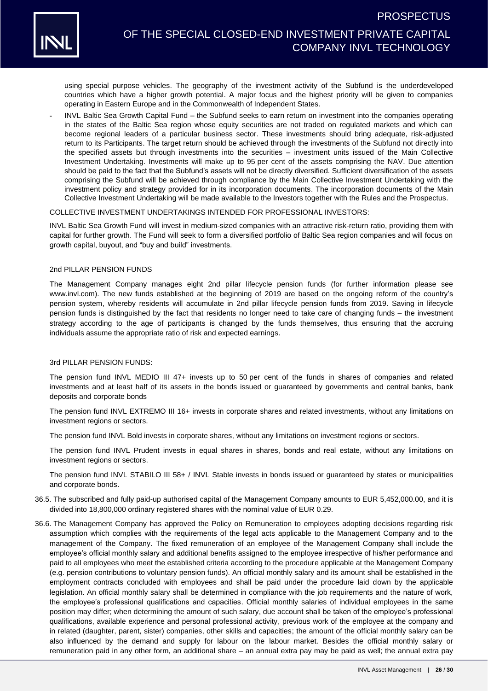

using special purpose vehicles. The geography of the investment activity of the Subfund is the underdeveloped countries which have a higher growth potential. A major focus and the highest priority will be given to companies operating in Eastern Europe and in the Commonwealth of Independent States.

- INVL Baltic Sea Growth Capital Fund – the Subfund seeks to earn return on investment into the companies operating in the states of the Baltic Sea region whose equity securities are not traded on regulated markets and which can become regional leaders of a particular business sector. These investments should bring adequate, risk-adjusted return to its Participants. The target return should be achieved through the investments of the Subfund not directly into the specified assets but through investments into the securities – investment units issued of the Main Collective Investment Undertaking. Investments will make up to 95 per cent of the assets comprising the NAV. Due attention should be paid to the fact that the Subfund's assets will not be directly diversified. Sufficient diversification of the assets comprising the Subfund will be achieved through compliance by the Main Collective Investment Undertaking with the investment policy and strategy provided for in its incorporation documents. The incorporation documents of the Main Collective Investment Undertaking will be made available to the Investors together with the Rules and the Prospectus.

#### COLLECTIVE INVESTMENT UNDERTAKINGS INTENDED FOR PROFESSIONAL INVESTORS:

INVL Baltic Sea Growth Fund will invest in medium-sized companies with an attractive risk-return ratio, providing them with capital for further growth. The Fund will seek to form a diversified portfolio of Baltic Sea region companies and will focus on growth capital, buyout, and "buy and build" investments.

#### 2nd PILLAR PENSION FUNDS

The Management Company manages eight 2nd pillar lifecycle pension funds (for further information please see [www.invl.com\)](http://www.invl.com/). The new funds established at the beginning of 2019 are based on the ongoing reform of the country's pension system, whereby residents will accumulate in 2nd pillar lifecycle pension funds from 2019. Saving in lifecycle pension funds is distinguished by the fact that residents no longer need to take care of changing funds – the investment strategy according to the age of participants is changed by the funds themselves, thus ensuring that the accruing individuals assume the appropriate ratio of risk and expected earnings.

#### 3rd PILLAR PENSION FUNDS:

The pension fund INVL MEDIO III 47+ invests up to 50 per cent of the funds in shares of companies and related investments and at least half of its assets in the bonds issued or guaranteed by governments and central banks, bank deposits and corporate bonds

The pension fund INVL EXTREMO III 16+ invests in corporate shares and related investments, without any limitations on investment regions or sectors.

The pension fund INVL Bold invests in corporate shares, without any limitations on investment regions or sectors.

The pension fund INVL Prudent invests in equal shares in shares, bonds and real estate, without any limitations on investment regions or sectors.

The pension fund INVL STABILO III 58+ / INVL Stable invests in bonds issued or guaranteed by states or municipalities and corporate bonds.

- 36.5. The subscribed and fully paid-up authorised capital of the Management Company amounts to EUR 5,452,000.00, and it is divided into 18,800,000 ordinary registered shares with the nominal value of EUR 0.29.
- 36.6. The Management Company has approved the Policy on Remuneration to employees adopting decisions regarding risk assumption which complies with the requirements of the legal acts applicable to the Management Company and to the management of the Company. The fixed remuneration of an employee of the Management Company shall include the employee's official monthly salary and additional benefits assigned to the employee irrespective of his/her performance and paid to all employees who meet the established criteria according to the procedure applicable at the Management Company (e.g. pension contributions to voluntary pension funds). An official monthly salary and its amount shall be established in the employment contracts concluded with employees and shall be paid under the procedure laid down by the applicable legislation. An official monthly salary shall be determined in compliance with the job requirements and the nature of work, the employee's professional qualifications and capacities. Official monthly salaries of individual employees in the same position may differ; when determining the amount of such salary, due account shall be taken of the employee's professional qualifications, available experience and personal professional activity, previous work of the employee at the company and in related (daughter, parent, sister) companies, other skills and capacities; the amount of the official monthly salary can be also influenced by the demand and supply for labour on the labour market. Besides the official monthly salary or remuneration paid in any other form, an additional share – an annual extra pay may be paid as well; the annual extra pay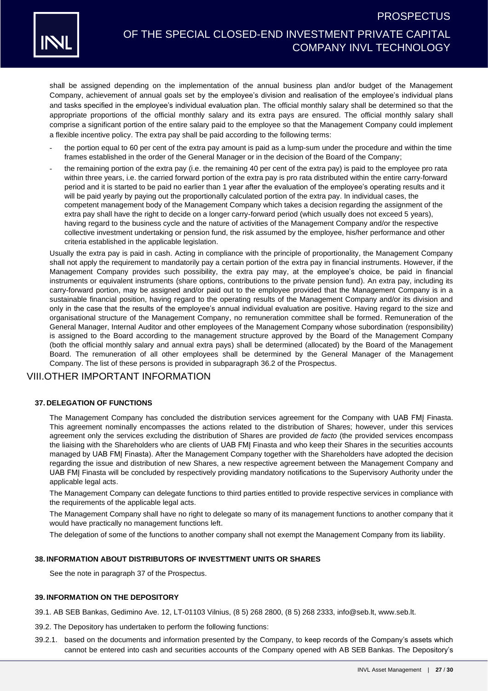

shall be assigned depending on the implementation of the annual business plan and/or budget of the Management Company, achievement of annual goals set by the employee's division and realisation of the employee's individual plans and tasks specified in the employee's individual evaluation plan. The official monthly salary shall be determined so that the appropriate proportions of the official monthly salary and its extra pays are ensured. The official monthly salary shall comprise a significant portion of the entire salary paid to the employee so that the Management Company could implement a flexible incentive policy. The extra pay shall be paid according to the following terms:

- the portion equal to 60 per cent of the extra pay amount is paid as a lump-sum under the procedure and within the time frames established in the order of the General Manager or in the decision of the Board of the Company;
- the remaining portion of the extra pay (i.e. the remaining 40 per cent of the extra pay) is paid to the employee pro rata within three years, i.e. the carried forward portion of the extra pay is pro rata distributed within the entire carry-forward period and it is started to be paid no earlier than 1 year after the evaluation of the employee's operating results and it will be paid yearly by paying out the proportionally calculated portion of the extra pay. In individual cases, the competent management body of the Management Company which takes a decision regarding the assignment of the extra pay shall have the right to decide on a longer carry-forward period (which usually does not exceed 5 years), having regard to the business cycle and the nature of activities of the Management Company and/or the respective collective investment undertaking or pension fund, the risk assumed by the employee, his/her performance and other criteria established in the applicable legislation.

Usually the extra pay is paid in cash. Acting in compliance with the principle of proportionality, the Management Company shall not apply the requirement to mandatorily pay a certain portion of the extra pay in financial instruments. However, if the Management Company provides such possibility, the extra pay may, at the employee's choice, be paid in financial instruments or equivalent instruments (share options, contributions to the private pension fund). An extra pay, including its carry-forward portion, may be assigned and/or paid out to the employee provided that the Management Company is in a sustainable financial position, having regard to the operating results of the Management Company and/or its division and only in the case that the results of the employee's annual individual evaluation are positive. Having regard to the size and organisational structure of the Management Company, no remuneration committee shall be formed. Remuneration of the General Manager, Internal Auditor and other employees of the Management Company whose subordination (responsibility) is assigned to the Board according to the management structure approved by the Board of the Management Company (both the official monthly salary and annual extra pays) shall be determined (allocated) by the Board of the Management Board. The remuneration of all other employees shall be determined by the General Manager of the Management Company. The list of these persons is provided in subparagraph [36.2](#page-22-0) of the Prospectus.

### VIII.OTHER IMPORTANT INFORMATION

### <span id="page-26-0"></span>**37. DELEGATION OF FUNCTIONS**

The Management Company has concluded the distribution services agreement for the Company with UAB FMĮ Finasta. This agreement nominally encompasses the actions related to the distribution of Shares; however, under this services agreement only the services excluding the distribution of Shares are provided *de facto* (the provided services encompass the liaising with the Shareholders who are clients of UAB FMĮ Finasta and who keep their Shares in the securities accounts managed by UAB FMĮ Finasta). After the Management Company together with the Shareholders have adopted the decision regarding the issue and distribution of new Shares, a new respective agreement between the Management Company and UAB FMĮ Finasta will be concluded by respectively providing mandatory notifications to the Supervisory Authority under the applicable legal acts.

The Management Company can delegate functions to third parties entitled to provide respective services in compliance with the requirements of the applicable legal acts.

The Management Company shall have no right to delegate so many of its management functions to another company that it would have practically no management functions left.

The delegation of some of the functions to another company shall not exempt the Management Company from its liability.

#### **38. INFORMATION ABOUT DISTRIBUTORS OF INVESTTMENT UNITS OR SHARES**

See the note in paragraph [37](#page-26-0) of the Prospectus.

### **39. INFORMATION ON THE DEPOSITORY**

- <span id="page-26-1"></span>39.1. AB SEB Bankas, Gedimino Ave. 12, LT-01103 Vilnius, (8 5) 268 2800, (8 5) 268 2333, [info@seb.lt,](mailto:info@seb.lt) [www.seb.lt.](http://www.seb.lt/)
- <span id="page-26-2"></span>39.2. The Depository has undertaken to perform the following functions:
- 39.2.1. based on the documents and information presented by the Company, to keep records of the Company's assets which cannot be entered into cash and securities accounts of the Company opened with AB SEB Bankas. The Depository's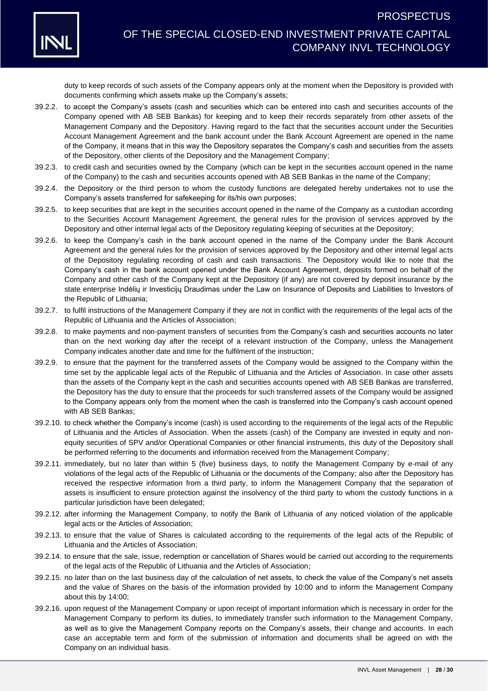

# OF THE SPECIAL CLOSED-END INVESTMENT PRIVATE CAPITAL COMPANY INVL TECHNOLOGY

duty to keep records of such assets of the Company appears only at the moment when the Depository is provided with documents confirming which assets make up the Company's assets;

- 39.2.2. to accept the Company's assets (cash and securities which can be entered into cash and securities accounts of the Company opened with AB SEB Bankas) for keeping and to keep their records separately from other assets of the Management Company and the Depository. Having regard to the fact that the securities account under the Securities Account Management Agreement and the bank account under the Bank Account Agreement are opened in the name of the Company, it means that in this way the Depository separates the Company's cash and securities from the assets of the Depository, other clients of the Depository and the Management Company;
- 39.2.3. to credit cash and securities owned by the Company (which can be kept in the securities account opened in the name of the Company) to the cash and securities accounts opened with AB SEB Bankas in the name of the Company;
- 39.2.4. the Depository or the third person to whom the custody functions are delegated hereby undertakes not to use the Company's assets transferred for safekeeping for its/his own purposes;
- 39.2.5. to keep securities that are kept in the securities account opened in the name of the Company as a custodian according to the Securities Account Management Agreement, the general rules for the provision of services approved by the Depository and other internal legal acts of the Depository regulating keeping of securities at the Depository;
- 39.2.6. to keep the Company's cash in the bank account opened in the name of the Company under the Bank Account Agreement and the general rules for the provision of services approved by the Depository and other internal legal acts of the Depository regulating recording of cash and cash transactions. The Depository would like to note that the Company's cash in the bank account opened under the Bank Account Agreement, deposits formed on behalf of the Company and other cash of the Company kept at the Depository (if any) are not covered by deposit insurance by the state enterprise Indėlių ir Investicijų Draudimas under the Law on Insurance of Deposits and Liabilities to Investors of the Republic of Lithuania;
- 39.2.7. to fulfil instructions of the Management Company if they are not in conflict with the requirements of the legal acts of the Republic of Lithuania and the Articles of Association;
- 39.2.8. to make payments and non-payment transfers of securities from the Company's cash and securities accounts no later than on the next working day after the receipt of a relevant instruction of the Company, unless the Management Company indicates another date and time for the fulfilment of the instruction;
- 39.2.9. to ensure that the payment for the transferred assets of the Company would be assigned to the Company within the time set by the applicable legal acts of the Republic of Lithuania and the Articles of Association. In case other assets than the assets of the Company kept in the cash and securities accounts opened with AB SEB Bankas are transferred, the Depository has the duty to ensure that the proceeds for such transferred assets of the Company would be assigned to the Company appears only from the moment when the cash is transferred into the Company's cash account opened with AB SEB Bankas;
- 39.2.10. to check whether the Company's income (cash) is used according to the requirements of the legal acts of the Republic of Lithuania and the Articles of Association. When the assets (cash) of the Company are invested in equity and nonequity securities of SPV and/or Operational Companies or other financial instruments, this duty of the Depository shall be performed referring to the documents and information received from the Management Company;
- 39.2.11. immediately, but no later than within 5 (five) business days, to notify the Management Company by e-mail of any violations of the legal acts of the Republic of Lithuania or the documents of the Company; also after the Depository has received the respective information from a third party, to inform the Management Company that the separation of assets is insufficient to ensure protection against the insolvency of the third party to whom the custody functions in a particular jurisdiction have been delegated;
- 39.2.12. after informing the Management Company, to notify the Bank of Lithuania of any noticed violation of the applicable legal acts or the Articles of Association;
- 39.2.13. to ensure that the value of Shares is calculated according to the requirements of the legal acts of the Republic of Lithuania and the Articles of Association;
- 39.2.14. to ensure that the sale, issue, redemption or cancellation of Shares would be carried out according to the requirements of the legal acts of the Republic of Lithuania and the Articles of Association;
- 39.2.15. no later than on the last business day of the calculation of net assets, to check the value of the Company's net assets and the value of Shares on the basis of the information provided by 10:00 and to inform the Management Company about this by 14:00;
- 39.2.16. upon request of the Management Company or upon receipt of important information which is necessary in order for the Management Company to perform its duties, to immediately transfer such information to the Management Company, as well as to give the Management Company reports on the Company's assets, their change and accounts. In each case an acceptable term and form of the submission of information and documents shall be agreed on with the Company on an individual basis.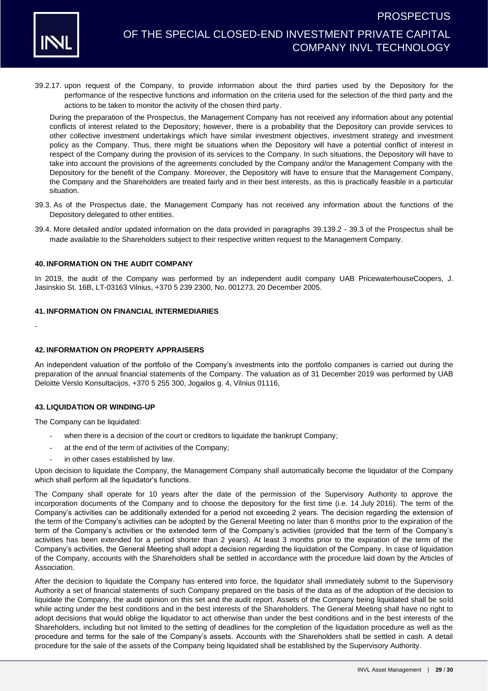

39.2.17. upon request of the Company, to provide information about the third parties used by the Depository for the performance of the respective functions and information on the criteria used for the selection of the third party and the actions to be taken to monitor the activity of the chosen third party.

During the preparation of the Prospectus, the Management Company has not received any information about any potential conflicts of interest related to the Depository; however, there is a probability that the Depository can provide services to other collective investment undertakings which have similar investment objectives, investment strategy and investment policy as the Company. Thus, there might be situations when the Depository will have a potential conflict of interest in respect of the Company during the provision of its services to the Company. In such situations, the Depository will have to take into account the provisions of the agreements concluded by the Company and/or the Management Company with the Depository for the benefit of the Company. Moreover, the Depository will have to ensure that the Management Company, the Company and the Shareholders are treated fairly and in their best interests, as this is practically feasible in a particular situation.

- <span id="page-28-0"></span>39.3. As of the Prospectus date, the Management Company has not received any information about the functions of the Depository delegated to other entities.
- 39.4. More detailed and/or updated information on the data provided in paragraphs [39.1](#page-26-1)[39.2](#page-26-2) [39.3](#page-28-0) of the Prospectus shall be made available to the Shareholders subject to their respective written request to the Management Company.

#### **40. INFORMATION ON THE AUDIT COMPANY**

In 2019, the audit of the Company was performed by an independent audit company UAB PricewaterhouseCoopers, J. Jasinskio St. 16B, LT-03163 Vilnius, +370 5 239 2300, No. 001273, 20 December 2005.

### **41. INFORMATION ON FINANCIAL INTERMEDIARIES**

-

### **42. INFORMATION ON PROPERTY APPRAISERS**

An independent valuation of the portfolio of the Company's investments into the portfolio companies is carried out during the preparation of the annual financial statements of the Company. The valuation as of 31 December 2019 was performed by UAB Deloitte Verslo Konsultacijos, +370 5 255 300, Jogailos g. 4, Vilnius 01116,

#### **43. LIQUIDATION OR WINDING-UP**

The Company can be liquidated:

- when there is a decision of the court or creditors to liquidate the bankrupt Company;
- at the end of the term of activities of the Company;
- in other cases established by law.

Upon decision to liquidate the Company, the Management Company shall automatically become the liquidator of the Company which shall perform all the liquidator's functions.

The Company shall operate for 10 years after the date of the permission of the Supervisory Authority to approve the incorporation documents of the Company and to choose the depository for the first time (i.e. 14 July 2016). The term of the Company's activities can be additionally extended for a period not exceeding 2 years. The decision regarding the extension of the term of the Company's activities can be adopted by the General Meeting no later than 6 months prior to the expiration of the term of the Company's activities or the extended term of the Company's activities (provided that the term of the Company's activities has been extended for a period shorter than 2 years). At least 3 months prior to the expiration of the term of the Company's activities, the General Meeting shall adopt a decision regarding the liquidation of the Company. In case of liquidation of the Company, accounts with the Shareholders shall be settled in accordance with the procedure laid down by the Articles of Association.

After the decision to liquidate the Company has entered into force, the liquidator shall immediately submit to the Supervisory Authority a set of financial statements of such Company prepared on the basis of the data as of the adoption of the decision to liquidate the Company, the audit opinion on this set and the audit report. Assets of the Company being liquidated shall be sold while acting under the best conditions and in the best interests of the Shareholders. The General Meeting shall have no right to adopt decisions that would oblige the liquidator to act otherwise than under the best conditions and in the best interests of the Shareholders, including but not limited to the setting of deadlines for the completion of the liquidation procedure as well as the procedure and terms for the sale of the Company's assets. Accounts with the Shareholders shall be settled in cash. A detail procedure for the sale of the assets of the Company being liquidated shall be established by the Supervisory Authority.